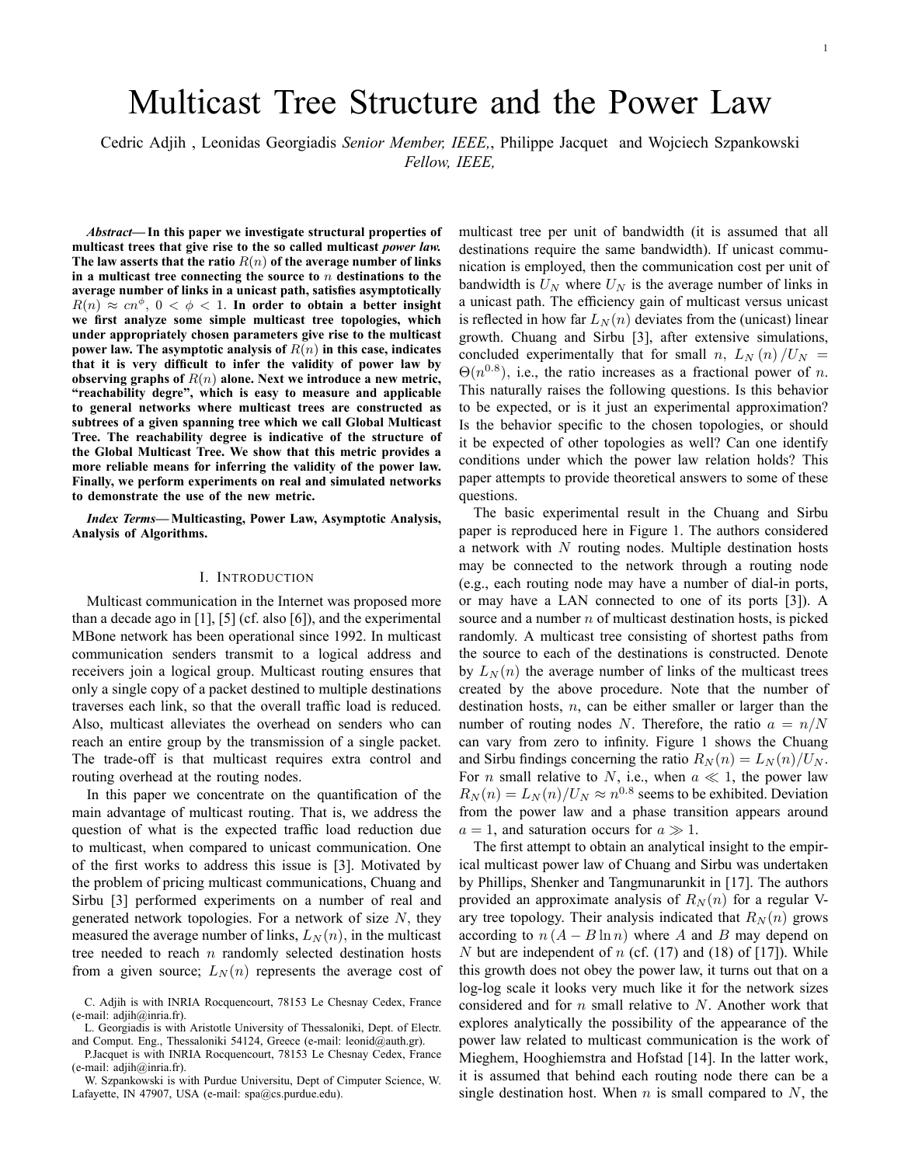# Multicast Tree Structure and the Power Law

Cedric Adjih , Leonidas Georgiadis Senior Member, IEEE,, Philippe Jacquet and Wojciech Szpankowski Fellow, IEEE,

Abstract—In this paper we investigate structural properties of multicast trees that give rise to the so called multicast *power law*. The law asserts that the ratio  $R(n)$  of the average number of links in a multicast tree connecting the source to  $n$  destinations to the average number of links in a unicast path, satisfies asymptotically  $R(n) \approx cn^{\phi}$ ,  $0 < \phi < 1$ . In order to obtain a better insight we first analyze some simple multicast tree topologies, which under appropriately chosen parameters give rise to the multicast power law. The asymptotic analysis of  $R(n)$  in this case, indicates that it is very difficult to infer the validity of power law by observing graphs of  $R(n)$  alone. Next we introduce a new metric, "reachability degre", which is easy to measure and applicable to general networks where multicast trees are constructed as subtrees of a given spanning tree which we call Global Multicast Tree. The reachability degree is indicative of the structure of the Global Multicast Tree. We show that this metric provides a more reliable means for inferring the validity of the power law. Finally, we perform experiments on real and simulated networks to demonstrate the use of the new metric.

Index Terms-Multicasting, Power Law, Asymptotic Analysis, Analysis of Algorithms.

#### I. INTRODUCTION

Multicast communication in the Internet was proposed more than a decade ago in [1], [5] (cf. also [6]), and the experimental MBone network has been operational since 1992. In multicast communication senders transmit to a logical address and receivers join a logical group. Multicast routing ensures that only a single copy of a packet destined to multiple destinations traverses each link, so that the overall traffic load is reduced. Also, multicast alleviates the overhead on senders who can reach an entire group by the transmission of a single packet. The trade-off is that multicast requires extra control and routing overhead at the routing nodes.

In this paper we concentrate on the quantification of the main advantage of multicast routing. That is, we address the question of what is the expected traffic load reduction due to multicast, when compared to unicast communication. One of the first works to address this issue is [3]. Motivated by the problem of pricing multicast communications, Chuang and Sirbu [3] performed experiments on a number of real and generated network topologies. For a network of size  $N$ , they measured the average number of links,  $L_N(n)$ , in the multicast tree needed to reach  $n$  randomly selected destination hosts from a given source;  $L_N(n)$  represents the average cost of multicast tree per unit of bandwidth (it is assumed that all destinations require the same bandwidth). If unicast communication is employed, then the communication cost per unit of bandwidth is  $U_N$  where  $U_N$  is the average number of links in a unicast path. The efficiency gain of multicast versus unicast is reflected in how far  $L_N(n)$  deviates from the (unicast) linear growth. Chuang and Sirbu [3], after extensive simulations, concluded experimentally that for small n,  $L_N(n)/U_N =$  $\Theta(n^{0.8})$ , i.e., the ratio increases as a fractional power of n. This naturally raises the following questions. Is this behavior to be expected, or is it just an experimental approximation? Is the behavior specific to the chosen topologies, or should it be expected of other topologies as well? Can one identify conditions under which the power law relation holds? This paper attempts to provide theoretical answers to some of these questions.

The basic experimental result in the Chuang and Sirbu paper is reproduced here in Figure 1. The authors considered a network with  $N$  routing nodes. Multiple destination hosts may be connected to the network through a routing node (e.g., each routing node may have a number of dial-in ports, or may have a LAN connected to one of its ports [3]). A source and a number  $n$  of multicast destination hosts, is picked randomly. A multicast tree consisting of shortest paths from the source to each of the destinations is constructed. Denote by  $L_N(n)$  the average number of links of the multicast trees created by the above procedure. Note that the number of destination hosts,  $n$ , can be either smaller or larger than the number of routing nodes N. Therefore, the ratio  $a = n/N$ can vary from zero to infinity. Figure 1 shows the Chuang and Sirbu findings concerning the ratio  $R_N(n) = L_N(n)/U_N$ . For *n* small relative to *N*, i.e., when  $a \ll 1$ , the power law  $R_N(n) = L_N(n)/U_N \approx n^{0.8}$  seems to be exhibited. Deviation from the power law and a phase transition appears around  $a = 1$ , and saturation occurs for  $a \gg 1$ .

The first attempt to obtain an analytical insight to the empirical multicast power law of Chuang and Sirbu was undertaken by Phillips, Shenker and Tangmunarunkit in [17]. The authors provided an approximate analysis of  $R_N(n)$  for a regular Vary tree topology. Their analysis indicated that  $R_N(n)$  grows according to  $n(A - B \ln n)$  where A and B may depend on N but are independent of n (cf.  $(17)$  and  $(18)$  of  $[17]$ ). While this growth does not obey the power law, it turns out that on a log-log scale it looks very much like it for the network sizes considered and for  $n$  small relative to  $N$ . Another work that explores analytically the possibility of the appearance of the power law related to multicast communication is the work of Mieghem, Hooghiemstra and Hofstad [14]. In the latter work, it is assumed that behind each routing node there can be a single destination host. When  $n$  is small compared to  $N$ , the

C. Adjih is with INRIA Rocquencourt, 78153 Le Chesnay Cedex, France (e-mail: adjih@inria.fr).

L. Georgiadis is with Aristotle University of Thessaloniki, Dept. of Electr. and Comput. Eng., Thessaloniki 54124, Greece (e-mail: leonid@auth.gr).

P.Jacquet is with INRIA Rocquencourt, 78153 Le Chesnay Cedex, France (e-mail: adjih@inria.fr).

W. Szpankowski is with Purdue Universitu, Dept of Cimputer Science, W. Lafayette, IN 47907, USA (e-mail: spa@cs.purdue.edu).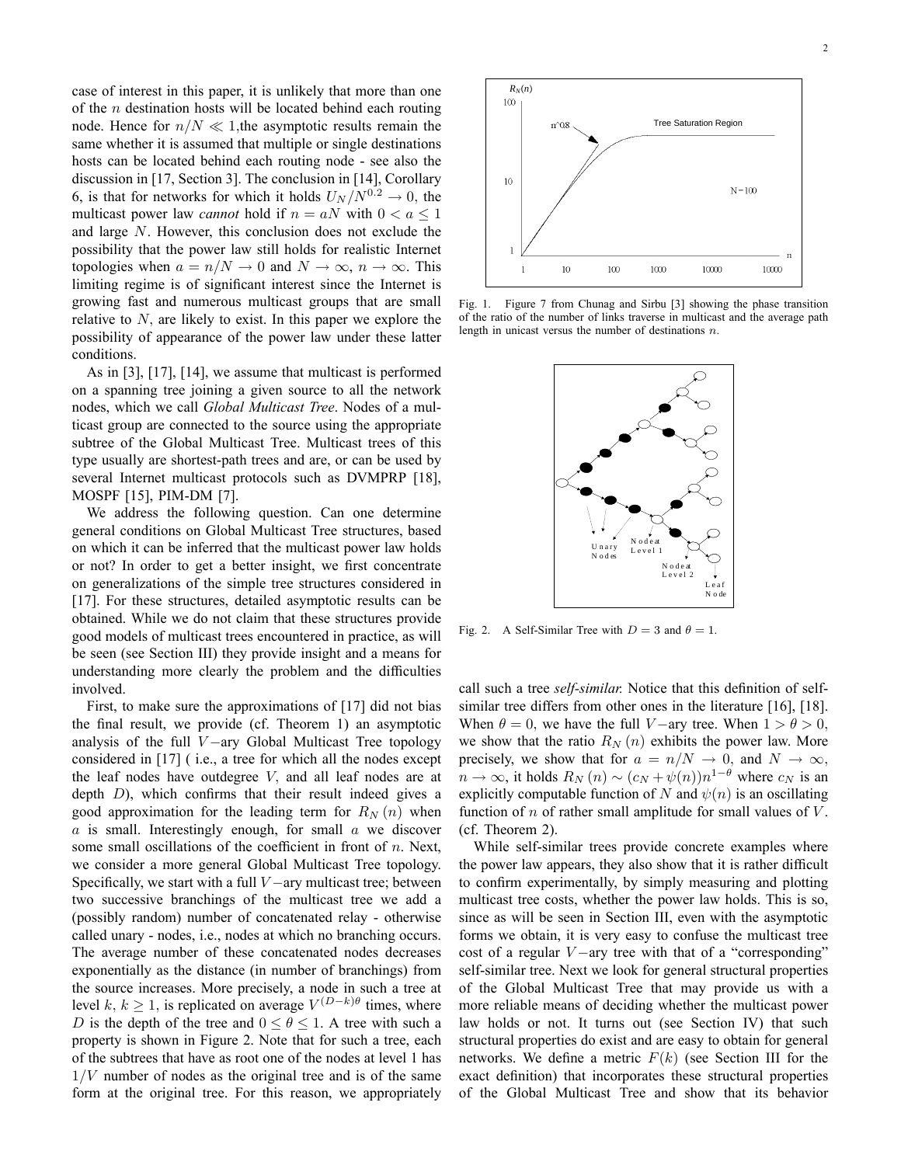case of interest in this paper, it is unlikely that more than one of the *n* destination hosts will be located behind each routing node. Hence for  $n/N \ll 1$ ,the asymptotic results remain the same whether it is assumed that multiple or single destinations hosts can be located behind each routing node - see also the discussion in [17, Section 3]. The conclusion in [14], Corollary 6, is that for networks for which it holds  $U_N / N^{0.2} \rightarrow 0$ , the multicast power law *cannot* hold if  $n = aN$  with  $0 < a \le 1$ and large N. However, this conclusion does not exclude the possibility that the power law still holds for realistic Internet topologies when  $a = n/N \to 0$  and  $N \to \infty$ ,  $n \to \infty$ . This limiting regime is of significant interest since the Internet is growing fast and numerous multicast groups that are small relative to  $N$ , are likely to exist. In this paper we explore the possibility of appearance of the power law under these latter conditions.

As in [3], [17], [14], we assume that multicast is performed on a spanning tree joining a given source to all the network nodes, which we call Global Multicast Tree. Nodes of a multicast group are connected to the source using the appropriate subtree of the Global Multicast Tree. Multicast trees of this type usually are shortest-path trees and are, or can be used by several Internet multicast protocols such as DVMPRP [18], MOSPF [15], PIM-DM [7].

We address the following question. Can one determine general conditions on Global Multicast Tree structures, based on which it can be inferred that the multicast power law holds or not? In order to get a better insight, we first concentrate on generalizations of the simple tree structures considered in [17]. For these structures, detailed asymptotic results can be obtained. While we do not claim that these structures provide good models of multicast trees encountered in practice, as will be seen (see Section III) they provide insight and a means for understanding more clearly the problem and the difficulties involved.

First, to make sure the approximations of [17] did not bias the final result, we provide (cf. Theorem 1) an asymptotic analysis of the full  $V$ -ary Global Multicast Tree topology considered in [17] ( i.e., a tree for which all the nodes except the leaf nodes have outdegree  $V$ , and all leaf nodes are at depth  $D$ ), which confirms that their result indeed gives a good approximation for the leading term for  $R_N(n)$  when  $a$  is small. Interestingly enough, for small  $a$  we discover some small oscillations of the coefficient in front of  $n$ . Next, we consider a more general Global Multicast Tree topology. Specifically, we start with a full  $V$  -ary multicast tree; between two successive branchings of the multicast tree we add a (possibly random) number of concatenated relay - otherwise called unary - nodes, i.e., nodes at which no branching occurs. The average number of these concatenated nodes decreases exponentially as the distance (in number of branchings) from the source increases. More precisely, a node in such a tree at level  $k, k \ge 1$ , is replicated on average  $V^{(D-k)\theta}$  times, where D is the depth of the tree and  $0 \le \theta \le 1$ . A tree with such a property is shown in Figure 2. Note that for such a tree, each of the subtrees that have as root one of the nodes at level 1 has  $1/V$  number of nodes as the original tree and is of the same form at the original tree. For this reason, we appropriately



Fig. 1. Figure 7 from Chunag and Sirbu [3] showing the phase transition of the ratio of the number of links traverse in multicast and the average path length in unicast versus the number of destinations n.



Fig. 2. A Self-Similar Tree with  $D = 3$  and  $\theta = 1$ .

call such a tree self-similar. Notice that this definition of selfsimilar tree differs from other ones in the literature [16], [18]. When  $\theta = 0$ , we have the full V-ary tree. When  $1 > \theta > 0$ , we show that the ratio  $R_N(n)$  exhibits the power law. More precisely, we show that for  $a = n/N \rightarrow 0$ , and  $N \rightarrow \infty$ ,  $n \to \infty$ , it holds  $R_N(n) \sim (c_N + \psi(n))n^{1-\theta}$  where  $c_N$  is an explicitly computable function of N and  $\psi(n)$  is an oscillating function of  $n$  of rather small amplitude for small values of  $V$ . (cf. Theorem 2).

While self-similar trees provide concrete examples where the power law appears, they also show that it is rather difficult to confirm experimentally, by simply measuring and plotting multicast tree costs, whether the power law holds. This is so, since as will be seen in Section III, even with the asymptotic forms we obtain, it is very easy to confuse the multicast tree cost of a regular  $V$ -ary tree with that of a "corresponding" self-similar tree. Next we look for general structural properties of the Global Multicast Tree that may provide us with a more reliable means of deciding whether the multicast power law holds or not. It turns out (see Section IV) that such structural properties do exist and are easy to obtain for general networks. We define a metric  $F(k)$  (see Section III for the exact definition) that incorporates these structural properties of the Global Multicast Tree and show that its behavior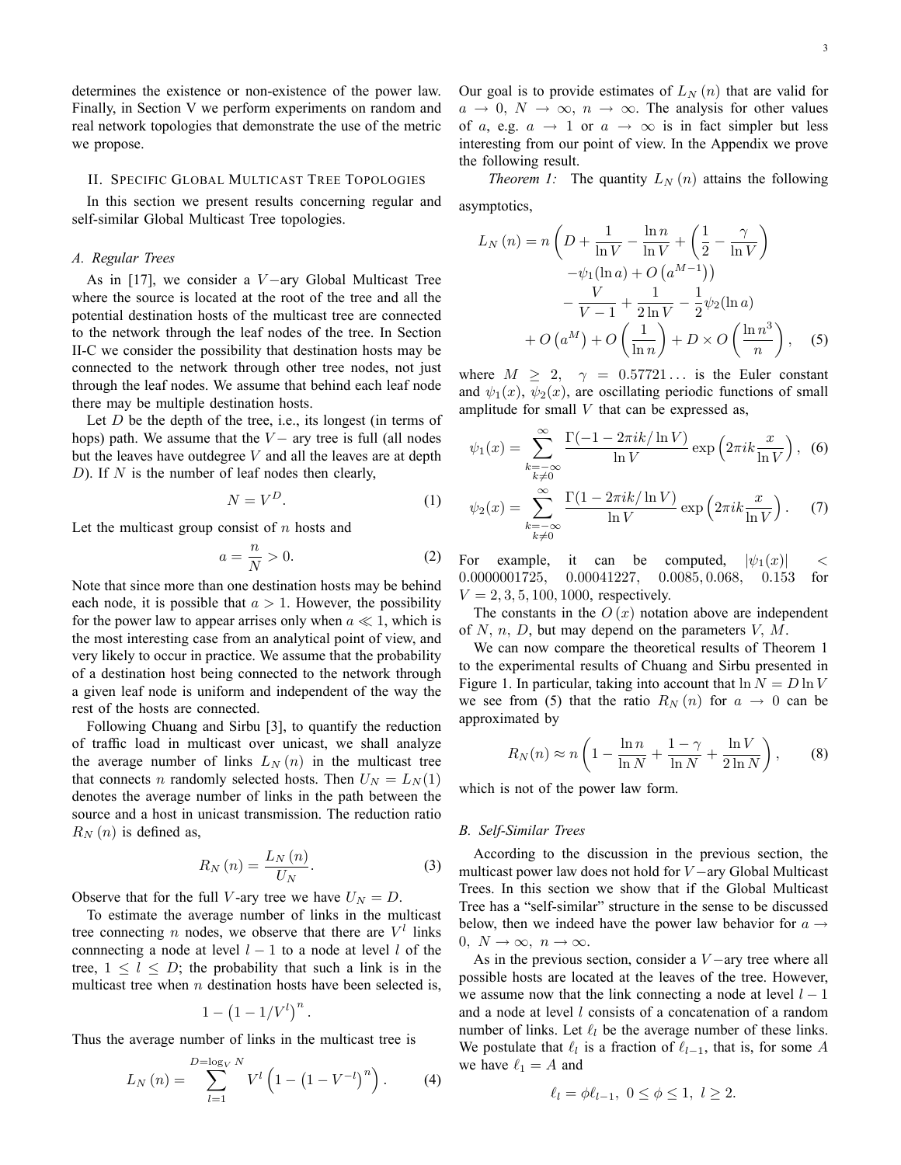determines the existence or non-existence of the power law. Finally, in Section V we perform experiments on random and real network topologies that demonstrate the use of the metric we propose.

## II. SPECIFIC GLOBAL MULTICAST TREE TOPOLOGIES

In this section we present results concerning regular and self-similar Global Multicast Tree topologies.

### A. Regular Trees

As in  $[17]$ , we consider a  $V$  ary Global Multicast Tree where the source is located at the root of the tree and all the potential destination hosts of the multicast tree are connected to the network through the leaf nodes of the tree. In Section II-C we consider the possibility that destination hosts may be connected to the network through other tree nodes, not just through the leaf nodes. We assume that behind each leaf node there may be multiple destination hosts.

Let  $D$  be the depth of the tree, i.e., its longest (in terms of hops) path. We assume that the  $V-$  ary tree is full (all nodes but the leaves have outdegree  $V$  and all the leaves are at depth D). If  $N$  is the number of leaf nodes then clearly,

$$
N = V^D. \tag{1}
$$

Let the multicast group consist of  $n$  hosts and

$$
a = \frac{n}{N} > 0.
$$
 (2)

Note that since more than one destination hosts may be behind each node, it is possible that  $a > 1$ . However, the possibility for the power law to appear arrises only when  $a \ll 1$ , which is the most interesting case from an analytical point of view, and very likely to occur in practice. We assume that the probability of a destination host being connected to the network through a given leaf node is uniform and independent of the way the rest of the hosts are connected.

Following Chuang and Sirbu [3], to quantify the reduction of traffic load in multicast over unicast, we shall analyze the average number of links  $L_N(n)$  in the multicast tree that connects *n* randomly selected hosts. Then  $U<sub>N</sub> = L<sub>N</sub>(1)$ denotes the average number of links in the path between the source and a host in unicast transmission. The reduction ratio  $R_N(n)$  is defined as,

$$
R_N\left(n\right) = \frac{L_N\left(n\right)}{U_N}.\tag{3}
$$

Observe that for the full V-ary tree we have  $U_N = D$ .

To estimate the average number of links in the multicast tree connecting *n* nodes, we observe that there are  $V<sup>l</sup>$  links connnecting a node at level  $l - 1$  to a node at level l of the tree,  $1 \leq l \leq D$ ; the probability that such a link is in the multicast tree when  $n$  destination hosts have been selected is,

$$
1-\left(1-1/V^l\right)^n.
$$

Thus the average number of links in the multicast tree is

$$
L_N(n) = \sum_{l=1}^{D=\log_V N} V^l \left( 1 - \left( 1 - V^{-l} \right)^n \right). \tag{4}
$$

Our goal is to provide estimates of  $L_N(n)$  that are valid for  $a \rightarrow 0, N \rightarrow \infty, n \rightarrow \infty$ . The analysis for other values of a, e.g.  $a \rightarrow 1$  or  $a \rightarrow \infty$  is in fact simpler but less interesting from our point of view. In the Appendix we prove the following result.

*Theorem 1:* The quantity  $L_N(n)$  attains the following asymptotics,

$$
L_N(n) = n\left(D + \frac{1}{\ln V} - \frac{\ln n}{\ln V} + \left(\frac{1}{2} - \frac{\gamma}{\ln V}\right) -\psi_1(\ln a) + O\left(a^{M-1}\right)\right) - \frac{V}{V-1} + \frac{1}{2\ln V} - \frac{1}{2}\psi_2(\ln a) + O\left(a^M\right) + O\left(\frac{1}{\ln n}\right) + D \times O\left(\frac{\ln n^3}{n}\right), \quad (5)
$$

where  $M \geq 2$ ,  $\gamma = 0.57721...$  is the Euler constant and  $\psi_1(x)$ ,  $\psi_2(x)$ , are oscillating periodic functions of small amplitude for small  $V$  that can be expressed as,

$$
\psi_1(x) = \sum_{\substack{k=-\infty\\k\neq 0}}^{\infty} \frac{\Gamma(-1 - 2\pi i k / \ln V)}{\ln V} \exp\left(2\pi i k \frac{x}{\ln V}\right), \tag{6}
$$

$$
\psi_2(x) = \sum_{k=-\infty}^{\infty} \frac{\Gamma(1 - 2\pi i k / \ln V)}{\ln V} \exp\left(2\pi i k \frac{x}{\ln V}\right) \tag{7}
$$

$$
\psi_2(x) = \sum_{\substack{k=-\infty\\k\neq 0}}^{\infty} \frac{\Gamma(1 - 2\pi i k / \ln V)}{\ln V} \exp\left(2\pi i k \frac{x}{\ln V}\right). \tag{7}
$$

For example, it can be computed,  $|\psi_1(x)|$  < 0.00000001725, 0.00041227, 0.0085, 0.068, 0.153 for  $0.0085, 0.068,$  $V = 2, 3, 5, 100, 1000$ , respectively.

The constants in the  $O(x)$  notation above are independent of  $N$ ,  $n$ ,  $D$ , but may depend on the parameters  $V$ ,  $M$ .

We can now compare the theoretical results of Theorem 1 to the experimental results of Chuang and Sirbu presented in Figure 1. In particular, taking into account that  $\ln N = D \ln V$ we see from (5) that the ratio  $R_N(n)$  for  $a \rightarrow 0$  can be approximated by

$$
R_N(n) \approx n \left( 1 - \frac{\ln n}{\ln N} + \frac{1 - \gamma}{\ln N} + \frac{\ln V}{2 \ln N} \right),\qquad(8)
$$

which is not of the power law form.

#### B. Self-Similar Trees

According to the discussion in the previous section, the multicast power law does not hold for  $V$  -ary Global Multicast Trees. In this section we show that if the Global Multicast Tree has a "self-similar" structure in the sense to be discussed below, then we indeed have the power law behavior for  $a \rightarrow$  $0, N \rightarrow \infty, n \rightarrow \infty.$ 

As in the previous section, consider a  $V$  -ary tree where all possible hosts are located at the leaves of the tree. However, we assume now that the link connecting a node at level  $l - 1$ and a node at level *l* consists of a concatenation of a random number of links. Let  $\ell_l$  be the average number of these links. We postulate that  $\ell_l$  is a fraction of  $\ell_{l-1}$ , that is, for some A we have  $\ell_1 = A$  and

$$
\ell_l = \phi \ell_{l-1}, \ 0 \le \phi \le 1, \ l \ge 2.
$$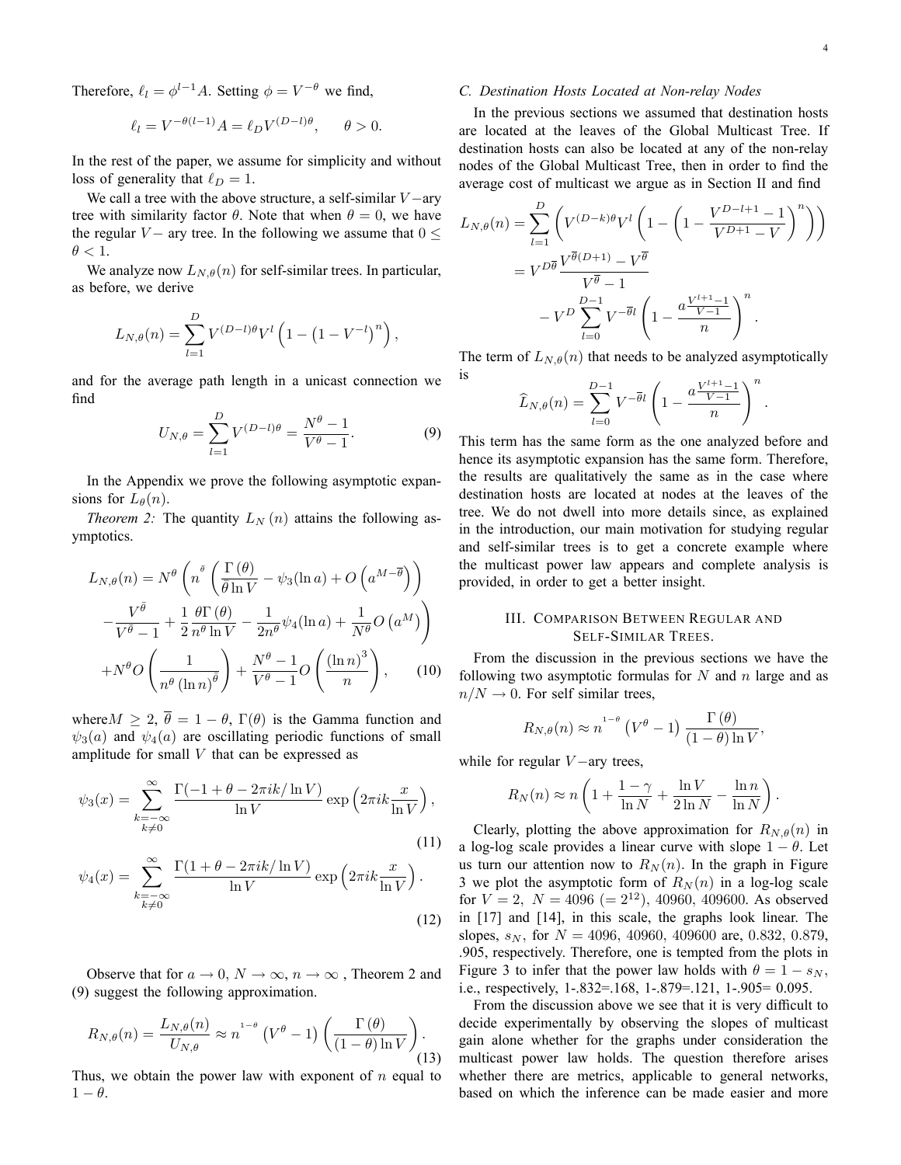Therefore,  $\ell_l = \phi^{l-1}A$ . Setting  $\phi = V^{-\theta}$  we find,

$$
\ell_l = V^{-\theta(l-1)}A = \ell_D V^{(D-l)\theta}, \quad \theta > 0.
$$

In the rest of the paper, we assume for simplicity and without loss of generality that  $\ell_D = 1$ .

We call a tree with the above structure, a self-similar  $V$  -ary tree with similarity factor  $\theta$ . Note that when  $\theta = 0$ , we have the regular V – ary tree. In the following we assume that  $0 \le$  $\theta < 1$ .

We analyze now  $L_{N,\theta}(n)$  for self-similar trees. In particular, as before, we derive

$$
L_{N,\theta}(n) = \sum_{l=1}^{D} V^{(D-l)\theta} V^l \left( 1 - (1 - V^{-l})^n \right),
$$

and for the average path length in a unicast connection we find

$$
U_{N,\theta} = \sum_{l=1}^{D} V^{(D-l)\theta} = \frac{N^{\theta} - 1}{V^{\theta} - 1}.
$$
 (9)

In the Appendix we prove the following asymptotic expansions for  $L_{\theta}(n)$ .

*Theorem 2:* The quantity  $L_N(n)$  attains the following asymptotics.

$$
L_{N,\theta}(n) = N^{\theta} \left( n^{\frac{\theta}{\theta}} \left( \frac{\Gamma(\theta)}{\overline{\theta} \ln V} - \psi_3(\ln a) + O\left( a^{M - \overline{\theta}} \right) \right) - \frac{V^{\overline{\theta}}}{V^{\overline{\theta}} - 1} + \frac{1}{2} \frac{\theta \Gamma(\theta)}{n^{\theta} \ln V} - \frac{1}{2n^{\theta}} \psi_4(\ln a) + \frac{1}{N^{\theta}} O\left( a^M \right) \right) + N^{\theta} O\left( \frac{1}{n^{\theta} (\ln n)^{\overline{\theta}}} \right) + \frac{N^{\theta} - 1}{V^{\theta} - 1} O\left( \frac{(\ln n)^3}{n} \right), \quad (10)
$$

where  $M \ge 2$ ,  $\overline{\theta} = 1 - \theta$ ,  $\Gamma(\theta)$  is the Gamma function and  $\psi_3(a)$  and  $\psi_4(a)$  are oscillating periodic functions of small amplitude for small V that can be expressed as

$$
\psi_3(x) = \sum_{\substack{k=-\infty\\k\neq 0}}^{\infty} \frac{\Gamma(-1+\theta-2\pi ik/\ln V)}{\ln V} \exp\left(2\pi ik \frac{x}{\ln V}\right),\tag{11}
$$

$$
\psi_4(x) = \sum_{\substack{k=-\infty\\k\neq 0}}^{\infty} \frac{\Gamma(1+\theta - 2\pi ik/\ln V)}{\ln V} \exp\left(2\pi ik \frac{x}{\ln V}\right).
$$
\n(12)

Observe that for  $a \to 0$ ,  $N \to \infty$ ,  $n \to \infty$ , Theorem 2 and (9) suggest the following approximation.

$$
R_{N,\theta}(n) = \frac{L_{N,\theta}(n)}{U_{N,\theta}} \approx n^{1-\theta} \left( V^{\theta} - 1 \right) \left( \frac{\Gamma(\theta)}{(1-\theta)\ln V} \right). \tag{13}
$$

Thus, we obtain the power law with exponent of  $n$  equal to  $1 - \theta$ .

#### C. Destination Hosts Located at Non-relay Nodes

In the previous sections we assumed that destination hosts are located at the leaves of the Global Multicast Tree. If destination hosts can also be located at any of the non-relay nodes of the Global Multicast Tree, then in order to find the average cost of multicast we argue as in Section II and find

$$
L_{N,\theta}(n) = \sum_{l=1}^{D} \left( V^{(D-k)\theta} V^l \left( 1 - \left( 1 - \frac{V^{D-l+1} - 1}{V^{D+1} - V} \right)^n \right) \right)
$$
  
=  $V^{D\overline{\theta}} \frac{V^{\overline{\theta}(D+1)} - V^{\overline{\theta}}}{V^{\overline{\theta}} - 1}$   
-  $V^{D} \sum_{l=0}^{D-1} V^{-\overline{\theta}l} \left( 1 - \frac{a \frac{V^{l+1} - 1}{V-1}}{n} \right)^n$ .

The term of  $L_{N,\theta}(n)$  that needs to be analyzed asymptotically is

$$
\widehat{L}_{N,\theta}(n) = \sum_{l=0}^{D-1} V^{-\overline{\theta}l} \left(1 - \frac{a \frac{V^{l+1}-1}{V-1}}{n}\right)^n.
$$

This term has the same form as the one analyzed before and hence its asymptotic expansion has the same form. Therefore, the results are qualitatively the same as in the case where destination hosts are located at nodes at the leaves of the tree. We do not dwell into more details since, as explained in the introduction, our main motivation for studying regular and self-similar trees is to get a concrete example where the multicast power law appears and complete analysis is provided, in order to get a better insight.

# III. COMPARISON BETWEEN REGULAR AND SELF-SIMILAR TREES.

From the discussion in the previous sections we have the following two asymptotic formulas for  $N$  and  $n$  large and as  $n/N \rightarrow 0$ . For self similar trees,

$$
R_{N,\theta}(n) \approx n^{1-\theta} \left( V^{\theta} - 1 \right) \frac{\Gamma(\theta)}{(1-\theta)\ln V}
$$

;

while for regular  $V$  – ary trees,

$$
R_N(n) \approx n \left( 1 + \frac{1 - \gamma}{\ln N} + \frac{\ln V}{2 \ln N} - \frac{\ln n}{\ln N} \right).
$$

Clearly, plotting the above approximation for  $R_{N,\theta}(n)$  in a log-log scale provides a linear curve with slope  $1 - \theta$ . Let us turn our attention now to  $R_N(n)$ . In the graph in Figure 3 we plot the asymptotic form of  $R_N(n)$  in a log-log scale for  $V = 2$ ,  $N = 4096 (= 2^{12})$ , 40960, 409600. As observed in [17] and [14], in this scale, the graphs look linear. The slopes,  $s_N$ , for  $N = 4096$ , 40960, 409600 are, 0.832, 0.879, .905, respectively. Therefore, one is tempted from the plots in Figure 3 to infer that the power law holds with  $\theta = 1 - s_N$ , i.e., respectively, 1-.832=.168, 1-.879=.121, 1-.905= 0.095.

From the discussion above we see that it is very difficult to decide experimentally by observing the slopes of multicast gain alone whether for the graphs under consideration the multicast power law holds. The question therefore arises whether there are metrics, applicable to general networks, based on which the inference can be made easier and more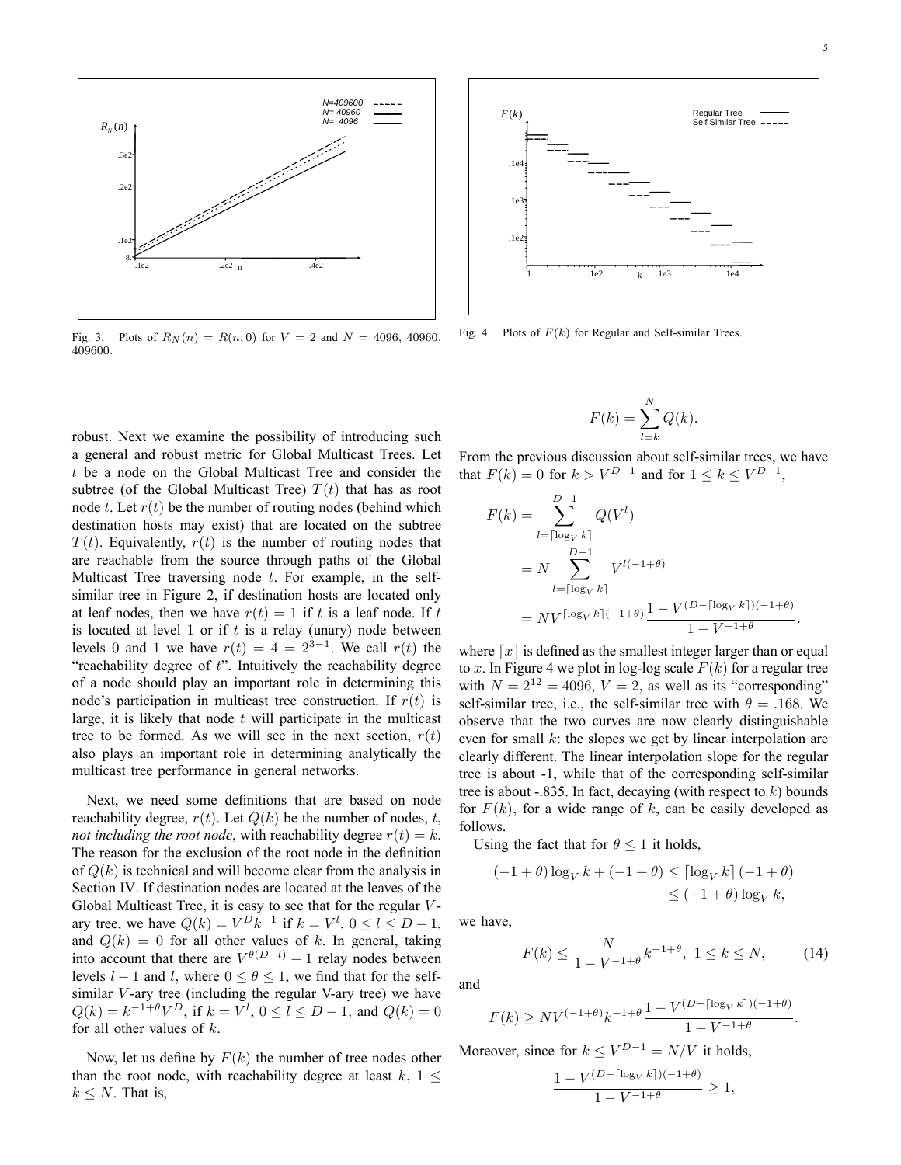:

:



Fig. 3. Plots of  $R_N(n) = R(n, 0)$  for  $V = 2$  and  $N = 4096, 40960,$ 409600:

robust. Next we examine the possibility of introducing such a general and robust metric for Global Multicast Trees. Let t be a node on the Global Multicast Tree and consider the subtree (of the Global Multicast Tree)  $T(t)$  that has as root node t. Let  $r(t)$  be the number of routing nodes (behind which destination hosts may exist) that are located on the subtree  $T(t)$ . Equivalently,  $r(t)$  is the number of routing nodes that are reachable from the source through paths of the Global Multicast Tree traversing node  $t$ . For example, in the selfsimilar tree in Figure 2, if destination hosts are located only at leaf nodes, then we have  $r(t) = 1$  if t is a leaf node. If t is located at level 1 or if  $t$  is a relay (unary) node between levels 0 and 1 we have  $r(t) = 4 = 2^{3-1}$ . We call  $r(t)$  the  $\degree$ reachability degree of  $t$ ". Intuitively the reachability degree of a node should play an important role in determining this node's participation in multicast tree construction. If  $r(t)$  is large, it is likely that node  $t$  will participate in the multicast tree to be formed. As we will see in the next section,  $r(t)$ also plays an important role in determining analytically the multicast tree performance in general networks.

Next, we need some definitions that are based on node reachability degree,  $r(t)$ . Let  $Q(k)$  be the number of nodes, t, not including the root node, with reachability degree  $r(t) = k$ . The reason for the exclusion of the root node in the definition of  $Q(k)$  is technical and will become clear from the analysis in Section IV. If destination nodes are located at the leaves of the Global Multicast Tree, it is easy to see that for the regular  $V$ ary tree, we have  $Q(k) = V^D k^{-1}$  if  $k = V^l$ ,  $0 \le l \le D - 1$ , and  $Q(k) = 0$  for all other values of k. In general, taking into account that there are  $V^{\theta(D-l)} - 1$  relay nodes between levels  $l-1$  and  $l$ , where  $0 \le \theta \le 1$ , we find that for the selfsimilar  $V$ -ary tree (including the regular V-ary tree) we have  $Q(k) = k^{-1+\theta}V^D$ , if  $k = V^l$ ,  $0 \le l \le D-1$ , and  $Q(k) = 0$ for all other values of  $k$ .

Now, let us define by  $F(k)$  the number of tree nodes other than the root node, with reachability degree at least  $k, 1 \leq$  $k \leq N$ . That is,



Fig. 4. Plots of  $F(k)$  for Regular and Self-similar Trees.

$$
F(k) = \sum_{l=k}^{N} Q(k).
$$

From the previous discussion about self-similar trees, we have that  $F(k) = 0$  for  $k > V^{D-1}$  and for  $1 \le k \le V^{D-1}$ ,

$$
F(k) = \sum_{l=\lceil \log_V k \rceil}^{D-1} Q(V^l)
$$
  
=  $N \sum_{l=\lceil \log_V k \rceil}^{D-1} V^{l(-1+\theta)}$   
=  $N V^{\lceil \log_V k \rceil (-1+\theta)} \frac{1 - V^{(D-\lceil \log_V k \rceil)(-1+\theta)}}{1 - V^{-1+\theta}}$ 

where  $\lfloor x \rfloor$  is defined as the smallest integer larger than or equal to x. In Figure 4 we plot in log-log scale  $F(k)$  for a regular tree with  $N = 2^{12} = 4096$ ,  $V = 2$ , as well as its "corresponding" self-similar tree, i.e., the self-similar tree with  $\theta = .168$ . We observe that the two curves are now clearly distinguishable even for small  $k$ : the slopes we get by linear interpolation are clearly different. The linear interpolation slope for the regular tree is about -1, while that of the corresponding self-similar tree is about  $-.835$ . In fact, decaying (with respect to k) bounds for  $F(k)$ , for a wide range of k, can be easily developed as follows.

Using the fact that for  $\theta \leq 1$  it holds,

$$
(-1+\theta)\log_{V} k + (-1+\theta) \leq \left[\log_{V} k\right] (-1+\theta)
$$
  

$$
\leq (-1+\theta)\log_{V} k,
$$

we have,

$$
F(k) \le \frac{N}{1 - V^{-1 + \theta}} k^{-1 + \theta}, \ 1 \le k \le N,
$$
 (14)

and

$$
F(k) \geq NV^{(-1+\theta)}k^{-1+\theta} \frac{1 - V^{(D-\lceil \log_V k \rceil)(-1+\theta)}}{1 - V^{-1+\theta}}
$$

Moreover, since for  $k \le V^{D-1} = N/V$  it holds,

$$
\frac{1 - V^{(D - \lceil \log_V k \rceil)(-1 + \theta)}}{1 - V^{-1 + \theta}} \ge 1,
$$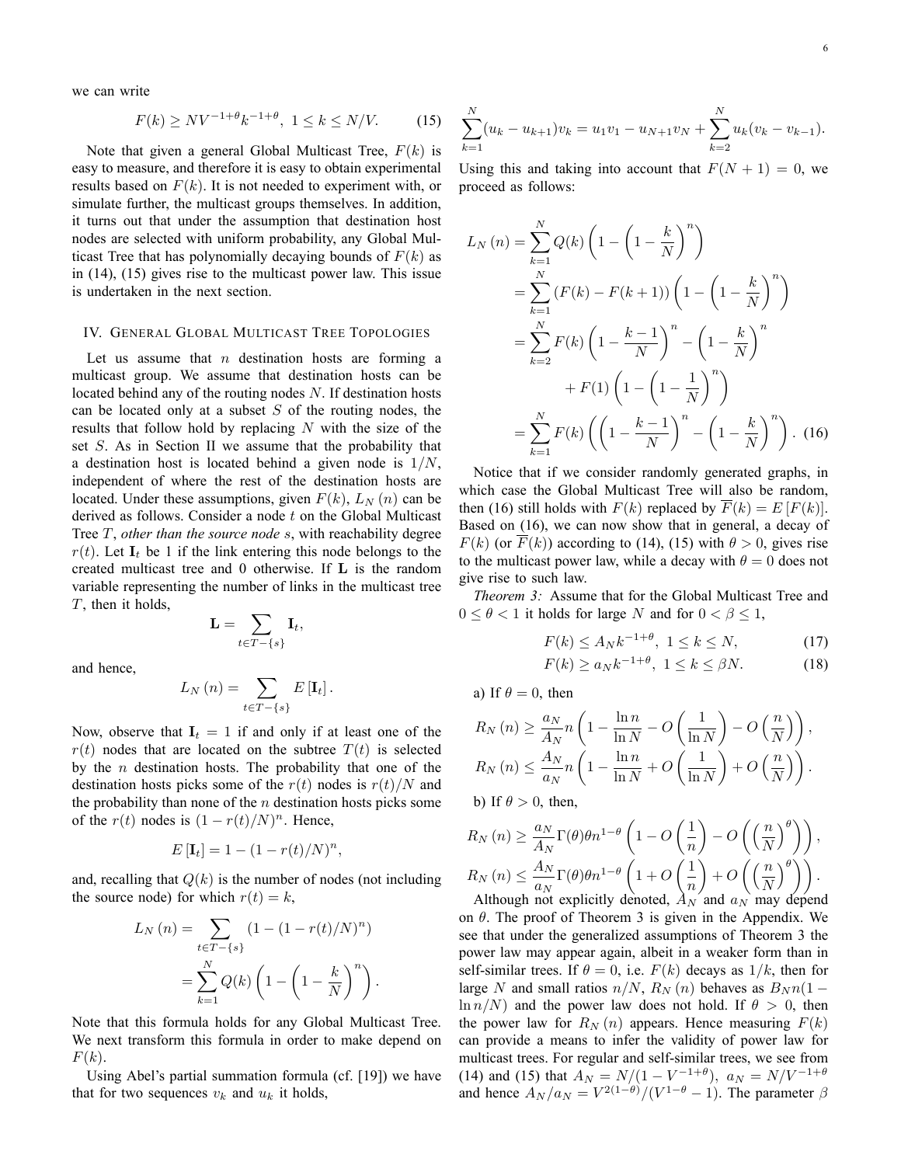we can write

$$
F(k) \geq NV^{-1+\theta}k^{-1+\theta}, \ 1 \leq k \leq N/V. \tag{15}
$$

Note that given a general Global Multicast Tree,  $F(k)$  is easy to measure, and therefore it is easy to obtain experimental results based on  $F(k)$ . It is not needed to experiment with, or simulate further, the multicast groups themselves. In addition, it turns out that under the assumption that destination host nodes are selected with uniform probability, any Global Multicast Tree that has polynomially decaying bounds of  $F(k)$  as in (14), (15) gives rise to the multicast power law. This issue is undertaken in the next section.

### IV. GENERAL GLOBAL MULTICAST TREE TOPOLOGIES

Let us assume that  $n$  destination hosts are forming a multicast group. We assume that destination hosts can be located behind any of the routing nodes  $N$ . If destination hosts can be located only at a subset  $S$  of the routing nodes, the results that follow hold by replacing  $N$  with the size of the set S. As in Section II we assume that the probability that a destination host is located behind a given node is  $1/N$ , independent of where the rest of the destination hosts are located. Under these assumptions, given  $F(k)$ ,  $L_N(n)$  can be derived as follows. Consider a node  $t$  on the Global Multicast Tree  $T$ , other than the source node  $s$ , with reachability degree  $r(t)$ . Let  $I_t$  be 1 if the link entering this node belongs to the created multicast tree and 0 otherwise. If L is the random variable representing the number of links in the multicast tree  $T$ , then it holds,

$$
\mathbf{L} = \sum_{t \in T - \{s\}} \mathbf{I}_t,
$$

and hence,

$$
L_N(n) = \sum_{t \in T - \{s\}} E[\mathbf{I}_t].
$$

Now, observe that  $I_t = 1$  if and only if at least one of the  $r(t)$  nodes that are located on the subtree  $T(t)$  is selected by the  $n$  destination hosts. The probability that one of the destination hosts picks some of the  $r(t)$  nodes is  $r(t)/N$  and the probability than none of the  $n$  destination hosts picks some of the  $r(t)$  nodes is  $(1 - r(t)/N)^n$ . Hence,

$$
E\left[\mathbf{I}_t\right] = 1 - (1 - r(t)/N)^n,
$$

and, recalling that  $Q(k)$  is the number of nodes (not including the source node) for which  $r(t) = k$ ,

$$
L_N(n) = \sum_{t \in T - \{s\}} (1 - (1 - r(t)/N)^n)
$$
  
= 
$$
\sum_{k=1}^N Q(k) \left(1 - \left(1 - \frac{k}{N}\right)^n\right).
$$

Note that this formula holds for any Global Multicast Tree. We next transform this formula in order to make depend on  $F(k)$ .

Using Abel's partial summation formula (cf. [19]) we have that for two sequences  $v_k$  and  $u_k$  it holds,

$$
\sum_{k=1}^{N} (u_k - u_{k+1})v_k = u_1v_1 - u_{N+1}v_N + \sum_{k=2}^{N} u_k(v_k - v_{k-1}).
$$

Using this and taking into account that  $F(N + 1) = 0$ , we proceed as follows:

$$
L_N(n) = \sum_{k=1}^{N} Q(k) \left( 1 - \left( 1 - \frac{k}{N} \right)^n \right)
$$
  
= 
$$
\sum_{k=1}^{N} (F(k) - F(k+1)) \left( 1 - \left( 1 - \frac{k}{N} \right)^n \right)
$$
  
= 
$$
\sum_{k=2}^{N} F(k) \left( 1 - \frac{k-1}{N} \right)^n - \left( 1 - \frac{k}{N} \right)^n
$$
  
+ 
$$
F(1) \left( 1 - \left( 1 - \frac{1}{N} \right)^n \right)
$$
  
= 
$$
\sum_{k=1}^{N} F(k) \left( \left( 1 - \frac{k-1}{N} \right)^n - \left( 1 - \frac{k}{N} \right)^n \right).
$$
 (16)

Notice that if we consider randomly generated graphs, in which case the Global Multicast Tree will also be random, then (16) still holds with  $F(k)$  replaced by  $\overline{F}(k) = E[F(k)]$ . Based on (16), we can now show that in general, a decay of  $F(k)$  (or  $F(k)$ ) according to (14), (15) with  $\theta > 0$ , gives rise to the multicast power law, while a decay with  $\theta = 0$  does not give rise to such law.

Theorem 3: Assume that for the Global Multicast Tree and  $0 \le \theta < 1$  it holds for large N and for  $0 < \beta \le 1$ ,

$$
F(k) \le A_N k^{-1+\theta}, \ 1 \le k \le N,\tag{17}
$$

$$
F(k) \ge a_N k^{-1+\theta}, \ 1 \le k \le \beta N. \tag{18}
$$

a) If  $\theta = 0$ , then

$$
R_N(n) \ge \frac{a_N}{A_N} n \left( 1 - \frac{\ln n}{\ln N} - O\left(\frac{1}{\ln N}\right) - O\left(\frac{n}{N}\right) \right),
$$
  
\n
$$
R_N(n) \le \frac{A_N}{a_N} n \left( 1 - \frac{\ln n}{\ln N} + O\left(\frac{1}{\ln N}\right) + O\left(\frac{n}{N}\right) \right).
$$
  
\nb) If  $\theta > 0$ , then,

$$
\left(\frac{a_N}{a}\right) \leq \frac{a_N}{\Gamma(a) a_n 1 - \theta} \left(1\right)
$$

$$
R_N(n) \ge \frac{a_N}{A_N} \Gamma(\theta) \theta n^{1-\theta} \left( 1 - O\left(\frac{1}{n}\right) - O\left(\left(\frac{n}{N}\right)^{\theta}\right) \right),
$$
  
\n
$$
R_N(n) \le \frac{A_N}{a_N} \Gamma(\theta) \theta n^{1-\theta} \left( 1 + O\left(\frac{1}{n}\right) + O\left(\left(\frac{n}{N}\right)^{\theta}\right) \right).
$$

Although not explicitly denoted,  $\hat{A}_N$  and  $a_N$  may depend on  $\theta$ . The proof of Theorem 3 is given in the Appendix. We see that under the generalized assumptions of Theorem 3 the power law may appear again, albeit in a weaker form than in self-similar trees. If  $\theta = 0$ , i.e.  $F(k)$  decays as  $1/k$ , then for large N and small ratios  $n/N$ ,  $R_N (n)$  behaves as  $B_N n(1 \ln n/N$  and the power law does not hold. If  $\theta > 0$ , then the power law for  $R_N(n)$  appears. Hence measuring  $F(k)$ can provide a means to infer the validity of power law for multicast trees. For regular and self-similar trees, we see from (14) and (15) that  $A_N = N/(1 - V^{-1+\theta})$ ,  $a_N = N/V^{-1+\theta}$ and hence  $A_N/a_N = V^{2(1-\theta)}/(V^{1-\theta} - 1)$ . The parameter  $\beta$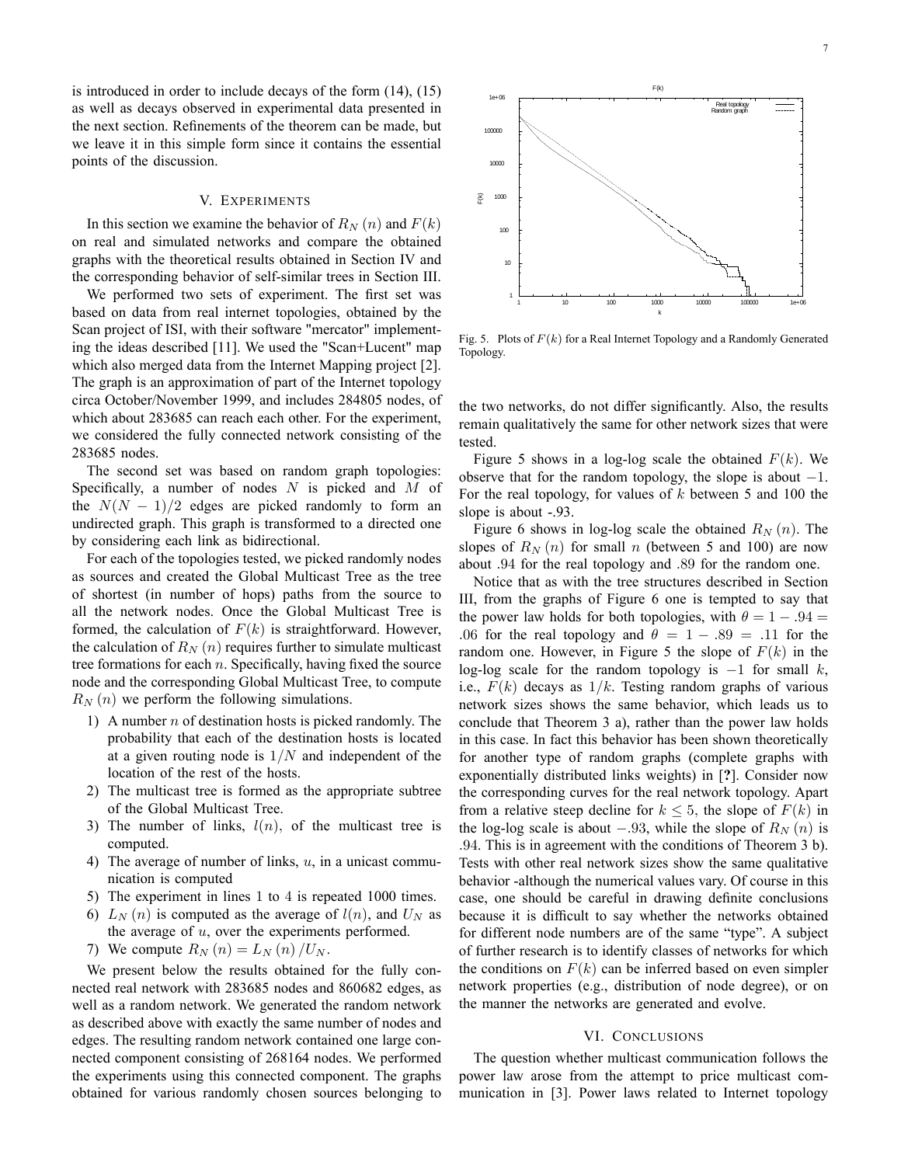is introduced in order to include decays of the form (14), (15) as well as decays observed in experimental data presented in the next section. Refinements of the theorem can be made, but we leave it in this simple form since it contains the essential points of the discussion.

## V. EXPERIMENTS

In this section we examine the behavior of  $R_N(n)$  and  $F(k)$ on real and simulated networks and compare the obtained graphs with the theoretical results obtained in Section IV and the corresponding behavior of self-similar trees in Section III.

We performed two sets of experiment. The first set was based on data from real internet topologies, obtained by the Scan project of ISI, with their software "mercator" implementing the ideas described [11]. We used the "Scan+Lucent" map which also merged data from the Internet Mapping project [2]. The graph is an approximation of part of the Internet topology circa October/November 1999, and includes 284805 nodes, of which about 283685 can reach each other. For the experiment, we considered the fully connected network consisting of the 283685 nodes.

The second set was based on random graph topologies: Specifically, a number of nodes  $N$  is picked and  $M$  of the  $N(N - 1)/2$  edges are picked randomly to form an undirected graph. This graph is transformed to a directed one by considering each link as bidirectional.

For each of the topologies tested, we picked randomly nodes as sources and created the Global Multicast Tree as the tree of shortest (in number of hops) paths from the source to all the network nodes. Once the Global Multicast Tree is formed, the calculation of  $F(k)$  is straightforward. However, the calculation of  $R_N(n)$  requires further to simulate multicast tree formations for each  $n$ . Specifically, having fixed the source node and the corresponding Global Multicast Tree, to compute  $R_N(n)$  we perform the following simulations.

- 1) A number  $n$  of destination hosts is picked randomly. The probability that each of the destination hosts is located at a given routing node is  $1/N$  and independent of the location of the rest of the hosts.
- 2) The multicast tree is formed as the appropriate subtree of the Global Multicast Tree.
- 3) The number of links,  $l(n)$ , of the multicast tree is computed.
- 4) The average of number of links,  $u$ , in a unicast communication is computed
- 5) The experiment in lines 1 to 4 is repeated 1000 times.
- 6)  $L_N(n)$  is computed as the average of  $l(n)$ , and  $U_N$  as the average of  $u$ , over the experiments performed.
- 7) We compute  $R_N(n) = L_N(n)/U_N$ .

We present below the results obtained for the fully connected real network with 283685 nodes and 860682 edges, as well as a random network. We generated the random network as described above with exactly the same number of nodes and edges. The resulting random network contained one large connected component consisting of 268164 nodes. We performed the experiments using this connected component. The graphs obtained for various randomly chosen sources belonging to



Fig. 5. Plots of  $F(k)$  for a Real Internet Topology and a Randomly Generated Topology.

the two networks, do not differ significantly. Also, the results remain qualitatively the same for other network sizes that were tested.

Figure 5 shows in a log-log scale the obtained  $F(k)$ . We observe that for the random topology, the slope is about  $-1$ . For the real topology, for values of  $k$  between 5 and 100 the slope is about -.93.

Figure 6 shows in log-log scale the obtained  $R_N(n)$ . The slopes of  $R_N(n)$  for small n (between 5 and 100) are now about :94 for the real topology and :89 for the random one.

Notice that as with the tree structures described in Section III, from the graphs of Figure 6 one is tempted to say that the power law holds for both topologies, with  $\theta = 1 - .94 =$ .06 for the real topology and  $\theta = 1 - .89 = .11$  for the random one. However, in Figure 5 the slope of  $F(k)$  in the log-log scale for the random topology is  $-1$  for small k, i.e.,  $F(k)$  decays as  $1/k$ . Testing random graphs of various network sizes shows the same behavior, which leads us to conclude that Theorem 3 a), rather than the power law holds in this case. In fact this behavior has been shown theoretically for another type of random graphs (complete graphs with exponentially distributed links weights) in [?]. Consider now the corresponding curves for the real network topology. Apart from a relative steep decline for  $k \leq 5$ , the slope of  $F(k)$  in the log-log scale is about  $-.93$ , while the slope of  $R_N(n)$  is :94. This is in agreement with the conditions of Theorem 3 b). Tests with other real network sizes show the same qualitative behavior -although the numerical values vary. Of course in this case, one should be careful in drawing definite conclusions because it is difficult to say whether the networks obtained for different node numbers are of the same "type". A subject of further research is to identify classes of networks for which the conditions on  $F(k)$  can be inferred based on even simpler network properties (e.g., distribution of node degree), or on the manner the networks are generated and evolve.

## VI. CONCLUSIONS

The question whether multicast communication follows the power law arose from the attempt to price multicast communication in [3]. Power laws related to Internet topology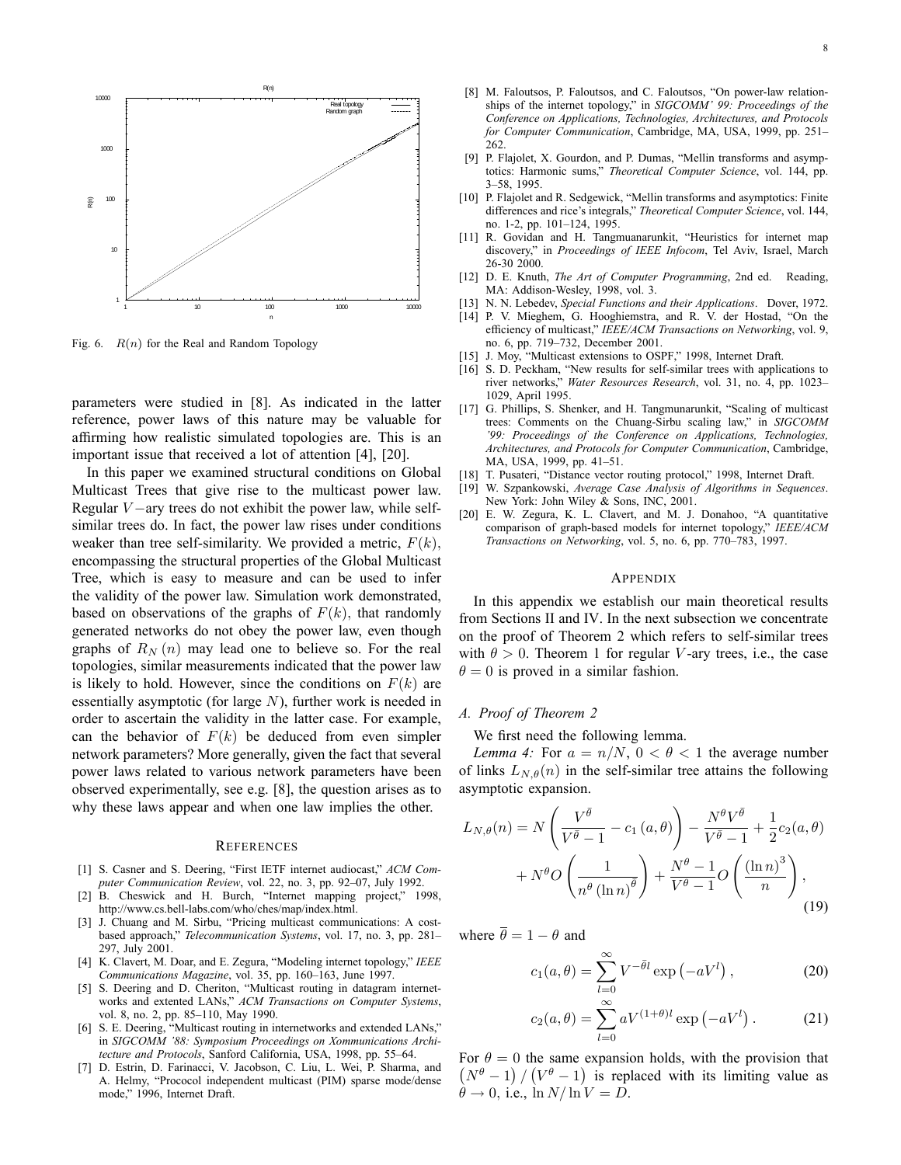

Fig. 6.  $R(n)$  for the Real and Random Topology

parameters were studied in [8]. As indicated in the latter reference, power laws of this nature may be valuable for affirming how realistic simulated topologies are. This is an important issue that received a lot of attention [4], [20].

In this paper we examined structural conditions on Global Multicast Trees that give rise to the multicast power law. Regular  $V$  – ary trees do not exhibit the power law, while selfsimilar trees do. In fact, the power law rises under conditions weaker than tree self-similarity. We provided a metric,  $F(k)$ , encompassing the structural properties of the Global Multicast Tree, which is easy to measure and can be used to infer the validity of the power law. Simulation work demonstrated, based on observations of the graphs of  $F(k)$ , that randomly generated networks do not obey the power law, even though graphs of  $R_N(n)$  may lead one to believe so. For the real topologies, similar measurements indicated that the power law is likely to hold. However, since the conditions on  $F(k)$  are essentially asymptotic (for large  $N$ ), further work is needed in order to ascertain the validity in the latter case. For example, can the behavior of  $F(k)$  be deduced from even simpler network parameters? More generally, given the fact that several power laws related to various network parameters have been observed experimentally, see e.g. [8], the question arises as to why these laws appear and when one law implies the other.

#### **REFERENCES**

- [1] S. Casner and S. Deering, "First IETF internet audiocast," ACM Computer Communication Review, vol. 22, no. 3, pp. 92-07, July 1992.
- [2] B. Cheswick and H. Burch, "Internet mapping project," 1998, http://www.cs.bell-labs.com/who/ches/map/index.html.
- [3] J. Chuang and M. Sirbu, "Pricing multicast communications: A costbased approach," Telecommunication Systems, vol. 17, no. 3, pp. 281-297, July 2001.
- [4] K. Clavert, M. Doar, and E. Zegura, "Modeling internet topology," IEEE Communications Magazine, vol. 35, pp. 160-163, June 1997.
- [5] S. Deering and D. Cheriton, "Multicast routing in datagram internetworks and extented LANs," ACM Transactions on Computer Systems, vol. 8, no. 2, pp. 85-110, May 1990.
- [6] S. E. Deering, "Multicast routing in internetworks and extended LANs," in SIGCOMM '88: Symposium Proceedings on Xommunications Architecture and Protocols, Sanford California, USA, 1998, pp. 55-64.
- [7] D. Estrin, D. Farinacci, V. Jacobson, C. Liu, L. Wei, P. Sharma, and A. Helmy, "Prococol independent multicast (PIM) sparse mode/dense mode," 1996, Internet Draft.
- [8] M. Faloutsos, P. Faloutsos, and C. Faloutsos, "On power-law relationships of the internet topology," in SIGCOMM' 99: Proceedings of the Conference on Applications, Technologies, Architectures, and Protocols for Computer Communication, Cambridge, MA, USA, 1999, pp. 251– 262.
- [9] P. Flajolet, X. Gourdon, and P. Dumas, "Mellin transforms and asymptotics: Harmonic sums," Theoretical Computer Science, vol. 144, pp. 3–58, 1995.
- [10] P. Flajolet and R. Sedgewick, "Mellin transforms and asymptotics: Finite differences and rice's integrals," Theoretical Computer Science, vol. 144, no. 1-2, pp. 101-124, 1995.
- [11] R. Govidan and H. Tangmuanarunkit, "Heuristics for internet map discovery," in Proceedings of IEEE Infocom, Tel Aviv, Israel, March 26-30 2000.
- [12] D. E. Knuth, The Art of Computer Programming, 2nd ed. Reading, MA: Addison-Wesley, 1998, vol. 3.
- [13] N. N. Lebedev, Special Functions and their Applications. Dover, 1972.
- [14] P. V. Mieghem, G. Hooghiemstra, and R. V. der Hostad, "On the efficiency of multicast," IEEE/ACM Transactions on Networking, vol. 9, no. 6, pp. 719-732, December 2001.
- [15] J. Moy, "Multicast extensions to OSPF," 1998, Internet Draft.
- [16] S. D. Peckham, "New results for self-similar trees with applications to river networks," Water Resources Research, vol. 31, no. 4, pp. 1023-1029, April 1995.
- [17] G. Phillips, S. Shenker, and H. Tangmunarunkit, "Scaling of multicast trees: Comments on the Chuang-Sirbu scaling law," in SIGCOMM '99: Proceedings of the Conference on Applications, Technologies, Architectures, and Protocols for Computer Communication, Cambridge, MA, USA, 1999, pp. 41-51.
- [18] T. Pusateri, "Distance vector routing protocol," 1998, Internet Draft.
- [19] W. Szpankowski, Average Case Analysis of Algorithms in Sequences. New York: John Wiley & Sons, INC, 2001.
- [20] E. W. Zegura, K. L. Clavert, and M. J. Donahoo, "A quantitative comparison of graph-based models for internet topology," IEEE/ACM Transactions on Networking, vol. 5, no. 6, pp. 770-783, 1997.

#### APPENDIX

In this appendix we establish our main theoretical results from Sections II and IV. In the next subsection we concentrate on the proof of Theorem 2 which refers to self-similar trees with  $\theta > 0$ . Theorem 1 for regular V-ary trees, i.e., the case  $\theta = 0$  is proved in a similar fashion.

#### A. Proof of Theorem 2

We first need the following lemma.

Lemma 4: For  $a = n/N$ ,  $0 < \theta < 1$  the average number of links  $L_{N,\theta}(n)$  in the self-similar tree attains the following asymptotic expansion.

$$
L_{N,\theta}(n) = N\left(\frac{V^{\bar{\theta}}}{V^{\bar{\theta}}-1} - c_1(a,\theta)\right) - \frac{N^{\theta}V^{\bar{\theta}}}{V^{\bar{\theta}}-1} + \frac{1}{2}c_2(a,\theta) + N^{\theta}O\left(\frac{1}{n^{\theta}(\ln n)^{\bar{\theta}}}\right) + \frac{N^{\theta}-1}{V^{\theta}-1}O\left(\frac{(\ln n)^3}{n}\right),
$$
\n(19)

where  $\overline{\theta} = 1 - \theta$  and

$$
c_1(a,\theta) = \sum_{l=0}^{\infty} V^{-\bar{\theta}l} \exp\left(-aV^l\right),\tag{20}
$$

$$
c_2(a,\theta) = \sum_{l=0}^{\infty} aV^{(1+\theta)l} \exp(-aV^l).
$$
 (21)

For  $\theta = 0$  the same expansion holds, with the provision that  $(N^{\theta}-1)/(V^{\theta}-1)$  is replaced with its limiting value as  $\theta \rightarrow 0$ , i.e.,  $\ln N / \ln V = D$ .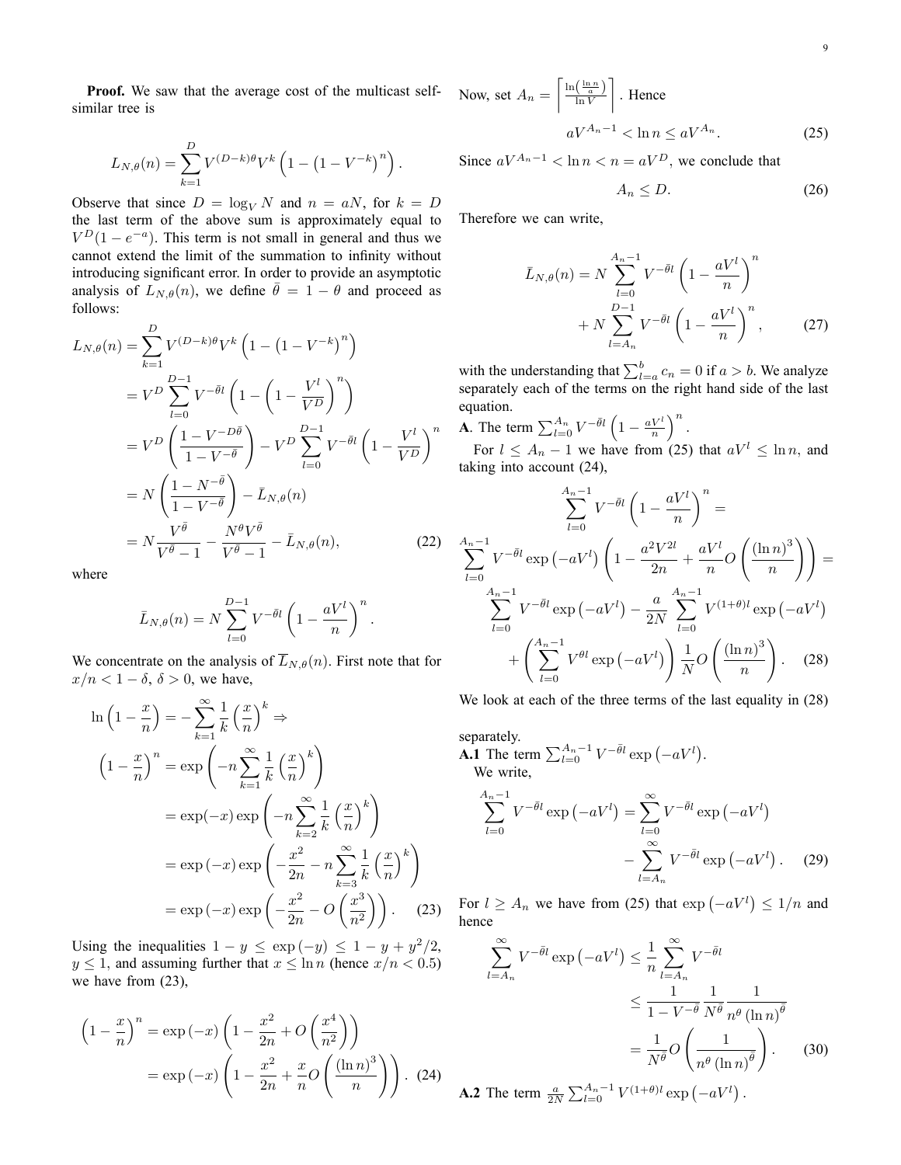Proof. We saw that the average cost of the multicast selfsimilar tree is

$$
L_{N,\theta}(n) = \sum_{k=1}^{D} V^{(D-k)\theta} V^k \left( 1 - \left( 1 - V^{-k} \right)^n \right).
$$

Observe that since  $D = \log_V N$  and  $n = aN$ , for  $k = D$ the last term of the above sum is approximately equal to  $V^{D}(1 - e^{-a})$ . This term is not small in general and thus we cannot extend the limit of the summation to infinity without introducing significant error. In order to provide an asymptotic analysis of  $L_{N,\theta}(n)$ , we define  $\bar{\theta} = 1 - \theta$  and proceed as follows:

$$
L_{N,\theta}(n) = \sum_{k=1}^{D} V^{(D-k)\theta} V^k \left( 1 - \left( 1 - V^{-k} \right)^n \right)
$$
  
\n
$$
= V^D \sum_{l=0}^{D-1} V^{-\bar{\theta}l} \left( 1 - \left( 1 - \frac{V^l}{V^D} \right)^n \right)
$$
  
\n
$$
= V^D \left( \frac{1 - V^{-D\bar{\theta}}}{1 - V^{-\bar{\theta}}} \right) - V^D \sum_{l=0}^{D-1} V^{-\bar{\theta}l} \left( 1 - \frac{V^l}{V^D} \right)^n
$$
  
\n
$$
= N \left( \frac{1 - N^{-\bar{\theta}}}{1 - V^{-\bar{\theta}}} \right) - \bar{L}_{N,\theta}(n)
$$
  
\n
$$
= N \frac{V^{\bar{\theta}}}{V^{\bar{\theta}} - 1} - \frac{N^{\theta} V^{\bar{\theta}}}{V^{\bar{\theta}} - 1} - \bar{L}_{N,\theta}(n),
$$
 (22)

where

$$
\bar{L}_{N,\theta}(n) = N \sum_{l=0}^{D-1} V^{-\bar{\theta}l} \left( 1 - \frac{aV^l}{n} \right)^n.
$$

We concentrate on the analysis of  $\overline{L}_{N,\theta}(n)$ . First note that for  $x/n < 1 - \delta$ ,  $\delta > 0$ , we have,

$$
\ln\left(1-\frac{x}{n}\right) = -\sum_{k=1}^{\infty} \frac{1}{k} \left(\frac{x}{n}\right)^k \Rightarrow
$$
\n
$$
\left(1-\frac{x}{n}\right)^n = \exp\left(-n\sum_{k=1}^{\infty} \frac{1}{k} \left(\frac{x}{n}\right)^k\right)
$$
\n
$$
= \exp(-x)\exp\left(-n\sum_{k=2}^{\infty} \frac{1}{k} \left(\frac{x}{n}\right)^k\right)
$$
\n
$$
= \exp(-x)\exp\left(-\frac{x^2}{2n} - n\sum_{k=3}^{\infty} \frac{1}{k} \left(\frac{x}{n}\right)^k\right)
$$
\n
$$
= \exp(-x)\exp\left(-\frac{x^2}{2n} - O\left(\frac{x^3}{n^2}\right)\right). \quad (23)
$$

Using the inequalities  $1 - y \le \exp(-y) \le 1 - y + y^2/2$ ,  $y \le 1$ , and assuming further that  $x \le \ln n$  (hence  $x/n < 0.5$ ) we have from (23),

$$
\left(1 - \frac{x}{n}\right)^n = \exp\left(-x\right)\left(1 - \frac{x^2}{2n} + O\left(\frac{x^4}{n^2}\right)\right)
$$

$$
= \exp\left(-x\right)\left(1 - \frac{x^2}{2n} + \frac{x}{n}O\left(\frac{\left(\ln n\right)^3}{n}\right)\right). (24)
$$

Now, set  $A_n =$  $\sqrt{\frac{\ln(\frac{\ln n}{a})}{\ln V}}$ J. : Hence  $aV^{A_n-1} < \ln n \le aV^{A_n}$ . (25)

Since  $aV^{A_n-1} < \ln n < n = aV^D$ , we conclude that

$$
A_n \le D. \tag{26}
$$

Therefore we can write,

$$
\bar{L}_{N,\theta}(n) = N \sum_{l=0}^{A_n - 1} V^{-\bar{\theta}l} \left( 1 - \frac{aV^l}{n} \right)^n
$$

$$
+ N \sum_{l=A_n}^{D-1} V^{-\bar{\theta}l} \left( 1 - \frac{aV^l}{n} \right)^n, \qquad (27)
$$

with the understanding that  $\sum_{l=a}^{b} c_n = 0$  if  $a > b$ . We analyze separately each of the terms on the right hand side of the last equation.

**A**. The term  $\sum_{l=0}^{A_n} V^{-\bar{\theta}l} \left(1 - \frac{aV^l}{n}\right)$  $\big)^n$ .

For  $l \leq A_n - 1$  we have from (25) that  $aV^l \leq \ln n$ , and taking into account (24),

$$
\sum_{l=0}^{A_n-1} V^{-\bar{\theta}l} \left(1 - \frac{aV^l}{n}\right)^n =
$$
  

$$
\sum_{l=0}^{A_n-1} V^{-\bar{\theta}l} \exp(-aV^l) \left(1 - \frac{a^2V^{2l}}{2n} + \frac{aV^l}{n} O\left(\frac{(\ln n)^3}{n}\right)\right) =
$$
  

$$
\sum_{l=0}^{A_n-1} V^{-\bar{\theta}l} \exp(-aV^l) - \frac{a}{2N} \sum_{l=0}^{A_n-1} V^{(1+\theta)l} \exp(-aV^l)
$$
  

$$
+ \left(\sum_{l=0}^{A_n-1} V^{\theta l} \exp(-aV^l)\right) \frac{1}{N} O\left(\frac{(\ln n)^3}{n}\right). \quad (28)
$$

We look at each of the three terms of the last equality in (28)

separately. **A.1** The term  $\sum_{l=0}^{A_n-1} V^{-\bar{\theta}l} \exp(-aV^l)$ . We write, A

$$
\sum_{l=0}^{4n-1} V^{-\bar{\theta}l} \exp\left(-aV^{l}\right) = \sum_{l=0}^{\infty} V^{-\bar{\theta}l} \exp\left(-aV^{l}\right) - \sum_{l=A_{n}}^{\infty} V^{-\bar{\theta}l} \exp\left(-aV^{l}\right). \tag{29}
$$

For  $l \ge A_n$  we have from (25) that  $\exp(-aV^l) \le 1/n$  and hence

$$
\sum_{l=A_n}^{\infty} V^{-\bar{\theta}l} \exp(-aV^l) \leq \frac{1}{n} \sum_{l=A_n}^{\infty} V^{-\bar{\theta}l}
$$

$$
\leq \frac{1}{1 - V^{-\bar{\theta}}} \frac{1}{N^{\bar{\theta}}} \frac{1}{n^{\theta} (\ln n)^{\bar{\theta}}}
$$

$$
= \frac{1}{N^{\bar{\theta}}} O\left(\frac{1}{n^{\theta} (\ln n)^{\bar{\theta}}}\right).
$$
(30)

**A.2** The term  $\frac{a}{2N} \sum_{l=0}^{A_n-1} V^{(1+\theta)l} \exp(-aV^l)$ .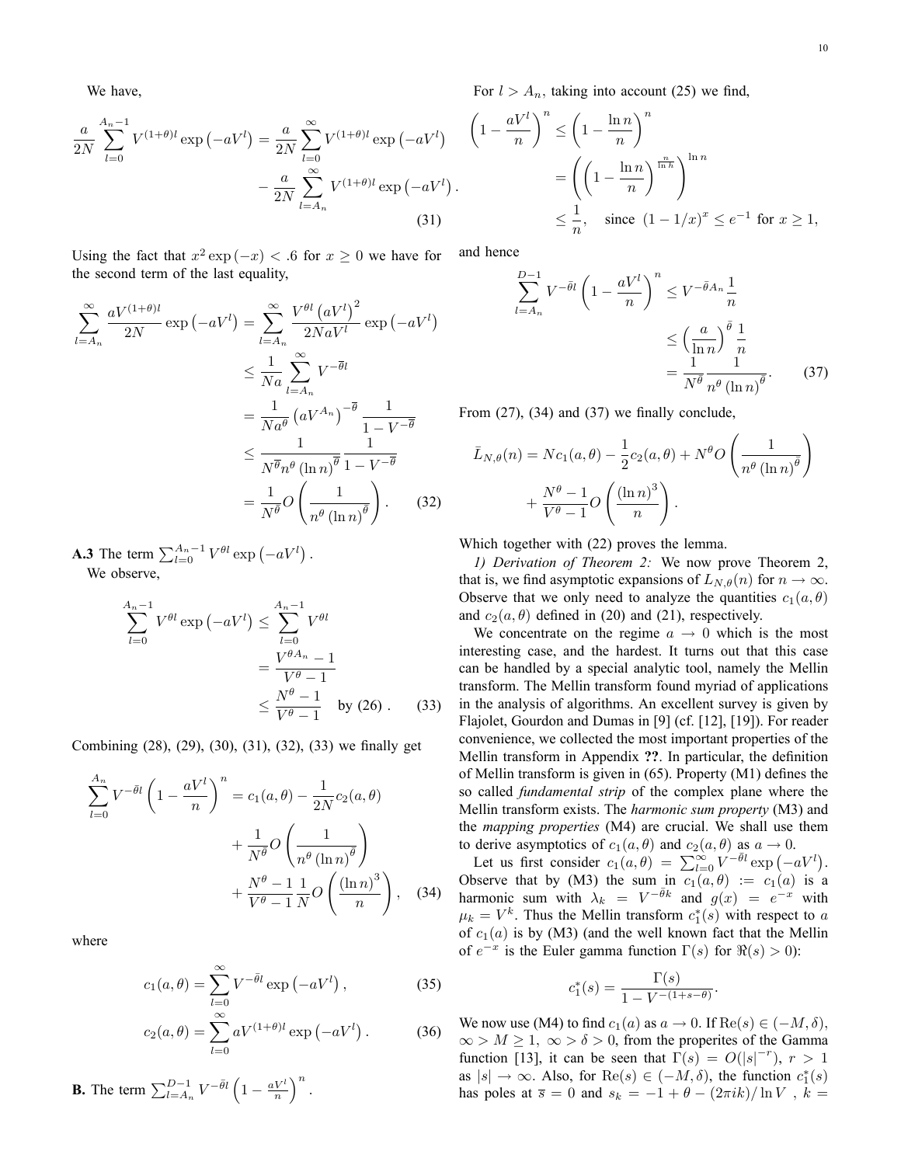We have,

$$
\frac{a}{2N} \sum_{l=0}^{A_n - 1} V^{(1+\theta)l} \exp(-aV^l) = \frac{a}{2N} \sum_{l=0}^{\infty} V^{(1+\theta)l} \exp(-aV^l) - \frac{a}{2N} \sum_{l=A_n}^{\infty} V^{(1+\theta)l} \exp(-aV^l)
$$
\n(31)

Using the fact that  $x^2 \exp(-x) < 0.6$  for  $x \ge 0$  we have for the second term of the last equality,

$$
\sum_{l=A_n}^{\infty} \frac{aV^{(1+\theta)l}}{2N} \exp(-aV^l) = \sum_{l=A_n}^{\infty} \frac{V^{\theta l} (aV^l)^2}{2N aV^l} \exp(-aV^l)
$$
  

$$
\leq \frac{1}{Na} \sum_{l=A_n}^{\infty} V^{-\overline{\theta}l}
$$
  

$$
= \frac{1}{Na^{\theta}} (aV^{A_n})^{-\overline{\theta}} \frac{1}{1 - V^{-\overline{\theta}}}
$$
  

$$
\leq \frac{1}{N^{\overline{\theta}} n^{\theta} (\ln n)^{\overline{\theta}}} \frac{1}{1 - V^{-\overline{\theta}}}
$$
  

$$
= \frac{1}{N^{\overline{\theta}}} O\left(\frac{1}{n^{\theta} (\ln n)^{\overline{\theta}}}\right).
$$
 (32)

**A.3** The term  $\sum_{l=0}^{A_n-1} V^{\theta l} \exp(-a V^l)$ . We observe,

$$
\sum_{l=0}^{A_n-1} V^{\theta l} \exp\left(-aV^l\right) \le \sum_{l=0}^{A_n-1} V^{\theta l}
$$

$$
= \frac{V^{\theta A_n} - 1}{V^{\theta} - 1}
$$

$$
\le \frac{N^{\theta} - 1}{V^{\theta} - 1} \text{ by (26).}
$$
(33)

Combining (28), (29), (30), (31), (32), (33) we finally get

$$
\sum_{l=0}^{A_n} V^{-\bar{\theta}l} \left( 1 - \frac{aV^l}{n} \right)^n = c_1(a, \theta) - \frac{1}{2N} c_2(a, \theta)
$$

$$
+ \frac{1}{N^{\bar{\theta}}} O\left(\frac{1}{n^{\theta} (\ln n)^{\bar{\theta}}} \right)
$$

$$
+ \frac{N^{\theta} - 1}{V^{\theta} - 1} \frac{1}{N} O\left(\frac{(\ln n)^3}{n}\right), \quad (34)
$$

where

$$
c_1(a,\theta) = \sum_{l=0}^{\infty} V^{-\bar{\theta}l} \exp(-aV^l) , \qquad (35)
$$

$$
c_2(a,\theta) = \sum_{l=0}^{\infty} aV^{(1+\theta)l} \exp(-aV^l).
$$
 (36)

**B.** The term  $\sum_{l=A_n}^{D-1} V^{-\bar{\theta}l} \left(1 - \frac{aV^l}{n}\right)$  $\big)^n$ . For  $l > A_n$ , taking into account (25) we find,

$$
\begin{aligned}\n\text{(1)} \quad & \left(1 - \frac{aV^l}{n}\right)^n \le \left(1 - \frac{\ln n}{n}\right)^n \\
& = \left(\left(1 - \frac{\ln n}{n}\right)^{\frac{n}{\ln h}}\right)^{\ln n} \\
& \le \frac{1}{n}, \quad \text{since } (1 - 1/x)^x \le e^{-1} \text{ for } x \ge 1,\n\end{aligned}
$$

and hence

$$
\sum_{l=A_n}^{D-1} V^{-\bar{\theta}l} \left(1 - \frac{aV^l}{n}\right)^n \le V^{-\bar{\theta}A_n} \frac{1}{n}
$$

$$
\le \left(\frac{a}{\ln n}\right)^{\bar{\theta}} \frac{1}{n}
$$

$$
= \frac{1}{N^{\bar{\theta}}} \frac{1}{n^{\theta} (\ln n)^{\bar{\theta}}}.
$$
(37)

From  $(27)$ ,  $(34)$  and  $(37)$  we finally conclude,

$$
\bar{L}_{N,\theta}(n) = Nc_1(a,\theta) - \frac{1}{2}c_2(a,\theta) + N^{\theta}O\left(\frac{1}{n^{\theta}(\ln n)^{\theta}}\right) + \frac{N^{\theta} - 1}{V^{\theta} - 1}O\left(\frac{(\ln n)^3}{n}\right).
$$

Which together with (22) proves the lemma.

1) Derivation of Theorem 2: We now prove Theorem 2, that is, we find asymptotic expansions of  $L_{N,\theta}(n)$  for  $n \to \infty$ . Observe that we only need to analyze the quantities  $c_1(a, \theta)$ and  $c_2(a, \theta)$  defined in (20) and (21), respectively.

We concentrate on the regime  $a \rightarrow 0$  which is the most interesting case, and the hardest. It turns out that this case can be handled by a special analytic tool, namely the Mellin transform. The Mellin transform found myriad of applications in the analysis of algorithms. An excellent survey is given by Flajolet, Gourdon and Dumas in [9] (cf. [12], [19]). For reader convenience, we collected the most important properties of the Mellin transform in Appendix ??. In particular, the definition of Mellin transform is given in  $(65)$ . Property  $(M1)$  defines the so called *fundamental strip* of the complex plane where the Mellin transform exists. The harmonic sum property (M3) and the mapping properties (M4) are crucial. We shall use them to derive asymptotics of  $c_1(a, \theta)$  and  $c_2(a, \theta)$  as  $a \to 0$ .

Let us first consider  $c_1(a, \theta) = \sum_{l=0}^{\infty} V^{-\bar{\theta}l} \exp(-aV^l)$ . Observe that by (M3) the sum in  $c_1(a, \theta) := c_1(a)$  is a harmonic sum with  $\lambda_k = V^{-\bar{\theta}k}$  and  $g(x) = e^{-x}$  with  $\mu_k = V^k$ . Thus the Mellin transform  $c_1^*(s)$  with respect to a of  $c_1(a)$  is by (M3) (and the well known fact that the Mellin of  $e^{-x}$  is the Euler gamma function  $\Gamma(s)$  for  $\Re(s) > 0$ ):

$$
c_1^*(s) = \frac{\Gamma(s)}{1 - V^{-(1+s-\theta)}}.
$$

We now use (M4) to find  $c_1(a)$  as  $a \to 0$ . If  $\text{Re}(s) \in (-M, \delta)$ ,  $\infty > M \geq 1$ ,  $\infty > \delta > 0$ , from the properites of the Gamma function [13], it can be seen that  $\Gamma(s) = O(|s|^{-r})$ ,  $r > 1$ as  $|s| \to \infty$ . Also, for  $\text{Re}(s) \in (-M, \delta)$ , the function  $c_1^*(s)$ has poles at  $\overline{s} = 0$  and  $s_k = -1 + \theta - (2\pi i k)/\ln V$ ,  $k =$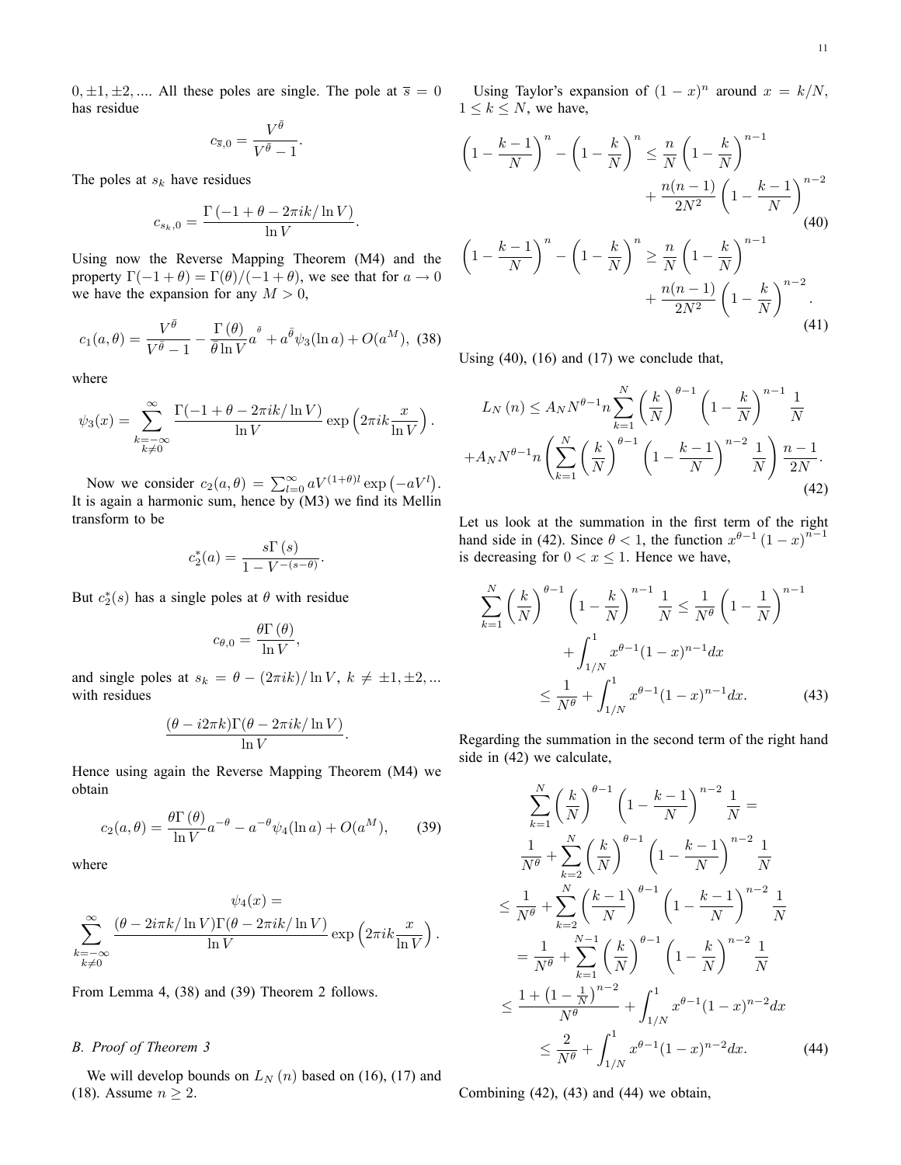$0, \pm 1, \pm 2, \dots$  All these poles are single. The pole at  $\overline{s} = 0$ has residue

$$
c_{\overline{s},0}=\frac{V^{\bar{\theta}}}{V^{\bar{\theta}}-1}
$$

:

The poles at  $s_k$  have residues

$$
c_{s_k,0} = \frac{\Gamma(-1 + \theta - 2\pi i k / \ln V)}{\ln V}.
$$

Using now the Reverse Mapping Theorem (M4) and the property  $\Gamma(-1 + \theta) = \Gamma(\theta)/(-1 + \theta)$ , we see that for  $a \to 0$ we have the expansion for any  $M > 0$ ,

$$
c_1(a,\theta) = \frac{V^{\bar{\theta}}}{V^{\bar{\theta}} - 1} - \frac{\Gamma(\theta)}{\bar{\theta}\ln V}a^{\bar{\theta}} + a^{\bar{\theta}}\psi_3(\ln a) + O(a^M),
$$
 (38)

where

$$
\psi_3(x) = \sum_{\substack{k=-\infty\\k\neq 0}}^{\infty} \frac{\Gamma(-1+\theta-2\pi ik/\ln V)}{\ln V} \exp\left(2\pi ik \frac{x}{\ln V}\right).
$$

Now we consider  $c_2(a, \theta) = \sum_{l=0}^{\infty} aV^{(1+\theta)l} \exp(-aV^l)$ . It is again a harmonic sum, hence by (M3) we find its Mellin transform to be

$$
c_2^*(a) = \frac{s \Gamma(s)}{1 - V^{-(s-\theta)}}.
$$

But  $c_2^*(s)$  has a single poles at  $\theta$  with residue

$$
c_{\theta,0}=\frac{\theta\Gamma\left(\theta\right)}{\ln V},
$$

and single poles at  $s_k = \theta - (2\pi i k)/\ln V$ ,  $k \neq \pm 1, \pm 2, ...$ with residues

$$
\frac{(\theta - i2\pi k)\Gamma(\theta - 2\pi i k/\ln V)}{\ln V}.
$$

Hence using again the Reverse Mapping Theorem (M4) we obtain

$$
c_2(a,\theta) = \frac{\theta \Gamma(\theta)}{\ln V} a^{-\theta} - a^{-\theta} \psi_4(\ln a) + O(a^M), \quad (39)
$$

where

$$
\psi_4(x) =
$$
  

$$
\sum_{\substack{k=-\infty\\k\neq 0}}^{\infty} \frac{(\theta - 2i\pi k / \ln V) \Gamma(\theta - 2\pi i k / \ln V)}{\ln V} \exp\left(2\pi i k \frac{x}{\ln V}\right).
$$

From Lemma 4, (38) and (39) Theorem 2 follows.

## B. Proof of Theorem 3

We will develop bounds on  $L_N(n)$  based on (16), (17) and (18). Assume  $n \geq 2$ .

Using Taylor's expansion of  $(1-x)^n$  around  $x = k/N$ ,  $1 \leq k \leq N$ , we have,

$$
\left(1 - \frac{k-1}{N}\right)^n - \left(1 - \frac{k}{N}\right)^n \le \frac{n}{N} \left(1 - \frac{k}{N}\right)^{n-1} + \frac{n(n-1)}{2N^2} \left(1 - \frac{k-1}{N}\right)^{n-2}
$$
\n
$$
\left(1 - \frac{k-1}{N}\right)^n - \left(1 - \frac{k}{N}\right)^n \ge \frac{n}{N} \left(1 - \frac{k}{N}\right)^{n-1} + \frac{n(n-1)}{2N^2} \left(1 - \frac{k}{N}\right)^{n-2}.
$$
\n(40)

Using (40), (16) and (17) we conclude that,

$$
L_N(n) \le A_N N^{\theta-1} n \sum_{k=1}^N \left(\frac{k}{N}\right)^{\theta-1} \left(1 - \frac{k}{N}\right)^{n-1} \frac{1}{N} + A_N N^{\theta-1} n \left(\sum_{k=1}^N \left(\frac{k}{N}\right)^{\theta-1} \left(1 - \frac{k-1}{N}\right)^{n-2} \frac{1}{N}\right) \frac{n-1}{2N}.
$$
\n(42)

Let us look at the summation in the first term of the right hand side in (42). Since  $\theta < 1$ , the function  $x^{\theta-1}(1-x)^{n-1}$ is decreasing for  $0 < x \leq 1$ . Hence we have,

$$
\sum_{k=1}^{N} \left(\frac{k}{N}\right)^{\theta-1} \left(1 - \frac{k}{N}\right)^{n-1} \frac{1}{N} \le \frac{1}{N^{\theta}} \left(1 - \frac{1}{N}\right)^{n-1} + \int_{1/N}^{1} x^{\theta-1} (1 - x)^{n-1} dx
$$

$$
\le \frac{1}{N^{\theta}} + \int_{1/N}^{1} x^{\theta-1} (1 - x)^{n-1} dx. \tag{43}
$$

Regarding the summation in the second term of the right hand side in (42) we calculate,

$$
\sum_{k=1}^{N} \left(\frac{k}{N}\right)^{\theta-1} \left(1 - \frac{k-1}{N}\right)^{n-2} \frac{1}{N} =
$$
\n
$$
\frac{1}{N^{\theta}} + \sum_{k=2}^{N} \left(\frac{k}{N}\right)^{\theta-1} \left(1 - \frac{k-1}{N}\right)^{n-2} \frac{1}{N}
$$
\n
$$
\leq \frac{1}{N^{\theta}} + \sum_{k=2}^{N} \left(\frac{k-1}{N}\right)^{\theta-1} \left(1 - \frac{k-1}{N}\right)^{n-2} \frac{1}{N}
$$
\n
$$
= \frac{1}{N^{\theta}} + \sum_{k=1}^{N-1} \left(\frac{k}{N}\right)^{\theta-1} \left(1 - \frac{k}{N}\right)^{n-2} \frac{1}{N}
$$
\n
$$
\leq \frac{1 + \left(1 - \frac{1}{N}\right)^{n-2}}{N^{\theta}} + \int_{1/N}^{1} x^{\theta-1} (1 - x)^{n-2} dx
$$
\n
$$
\leq \frac{2}{N^{\theta}} + \int_{1/N}^{1} x^{\theta-1} (1 - x)^{n-2} dx. \tag{44}
$$

Combining (42), (43) and (44) we obtain,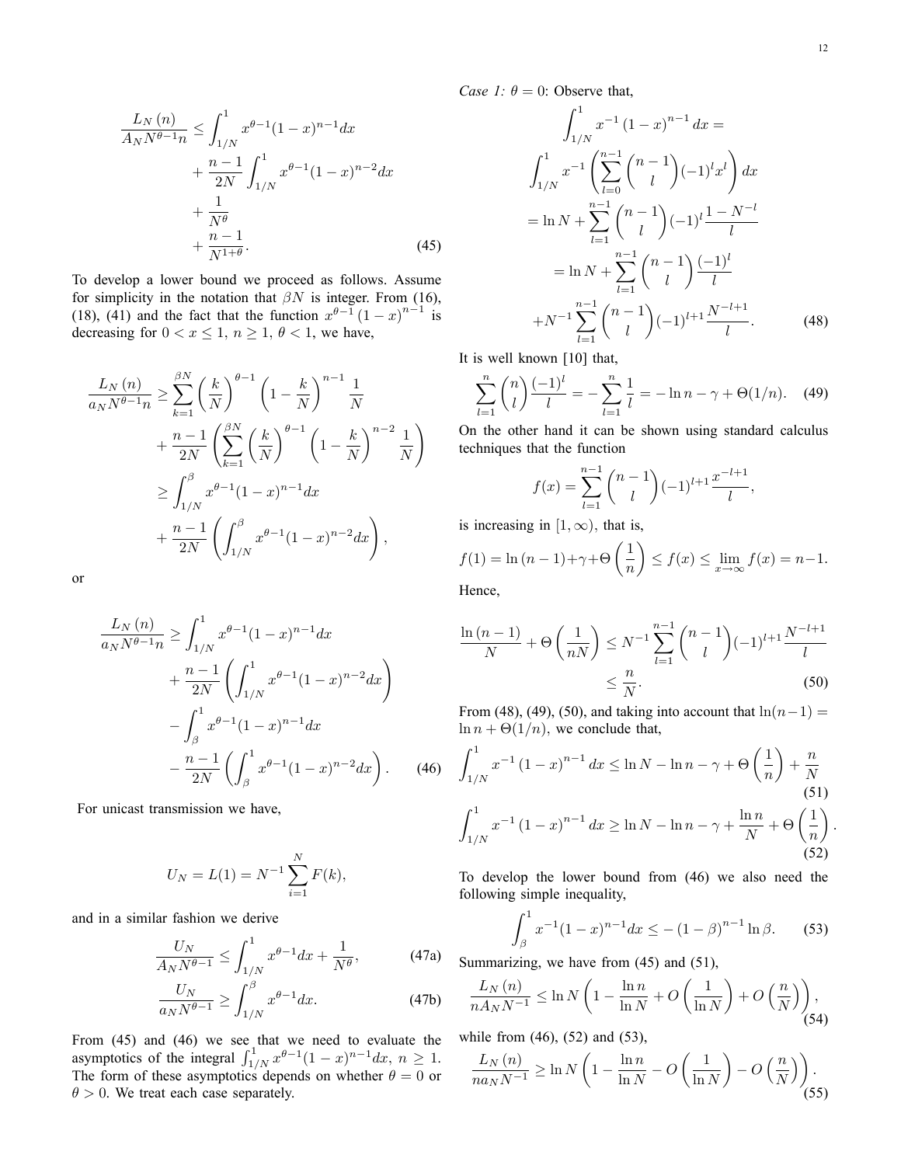:

$$
\frac{L_N(n)}{A_N N^{\theta - 1} n} \le \int_{1/N}^1 x^{\theta - 1} (1 - x)^{n - 1} dx \n+ \frac{n - 1}{2N} \int_{1/N}^1 x^{\theta - 1} (1 - x)^{n - 2} dx \n+ \frac{1}{N^{\theta}} \n+ \frac{n - 1}{N^{1 + \theta}}.
$$
\n(45)

To develop a lower bound we proceed as follows. Assume for simplicity in the notation that  $\beta N$  is integer. From (16), (18), (41) and the fact that the function  $x^{\theta-1}(1-x)^{n-1}$  is decreasing for  $0 < x \le 1$ ,  $n \ge 1$ ,  $\theta < 1$ , we have,

$$
\frac{L_N(n)}{a_N N^{\theta-1} n} \ge \sum_{k=1}^{\beta N} \left(\frac{k}{N}\right)^{\theta-1} \left(1 - \frac{k}{N}\right)^{n-1} \frac{1}{N} \n+ \frac{n-1}{2N} \left(\sum_{k=1}^{\beta N} \left(\frac{k}{N}\right)^{\theta-1} \left(1 - \frac{k}{N}\right)^{n-2} \frac{1}{N}\right) \n\ge \int_{1/N}^{\beta} x^{\theta-1} (1-x)^{n-1} dx \n+ \frac{n-1}{2N} \left(\int_{1/N}^{\beta} x^{\theta-1} (1-x)^{n-2} dx\right),
$$

or

$$
\frac{L_N(n)}{a_N N^{\theta - 1} n} \ge \int_{1/N}^1 x^{\theta - 1} (1 - x)^{n - 1} dx
$$
  
+ 
$$
\frac{n - 1}{2N} \left( \int_{1/N}^1 x^{\theta - 1} (1 - x)^{n - 2} dx \right)
$$
  
- 
$$
\int_{\beta}^1 x^{\theta - 1} (1 - x)^{n - 1} dx
$$
  
- 
$$
\frac{n - 1}{2N} \left( \int_{\beta}^1 x^{\theta - 1} (1 - x)^{n - 2} dx \right).
$$
 (46)

For unicast transmission we have,

$$
U_N = L(1) = N^{-1} \sum_{i=1}^{N} F(k),
$$

and in a similar fashion we derive

$$
\frac{U_N}{A_N N^{\theta - 1}} \le \int_{1/N}^1 x^{\theta - 1} dx + \frac{1}{N^{\theta}},\tag{47a}
$$

$$
\frac{U_N}{a_N N^{\theta - 1}} \ge \int_{1/N}^{\beta} x^{\theta - 1} dx.
$$
 (47b)

From (45) and (46) we see that we need to evaluate the asymptotics of the integral  $\int_{1/N}^1 x^{\theta-1}(1-x)^{n-1}dx$ ,  $n \ge 1$ . The form of these asymptotics depends on whether  $\theta = 0$  or  $\theta > 0$ . We treat each case separately.

Case 1:  $\theta = 0$ : Observe that,

$$
\int_{1/N}^{1} x^{-1} (1-x)^{n-1} dx =
$$
\n
$$
\int_{1/N}^{1} x^{-1} \left( \sum_{l=0}^{n-1} {n-1 \choose l} (-1)^l x^l \right) dx
$$
\n
$$
= \ln N + \sum_{l=1}^{n-1} {n-1 \choose l} (-1)^l \frac{1-N^{-l}}{l}
$$
\n
$$
= \ln N + \sum_{l=1}^{n-1} {n-1 \choose l} \frac{(-1)^l}{l}
$$
\n
$$
+ N^{-1} \sum_{l=1}^{n-1} {n-1 \choose l} (-1)^{l+1} \frac{N^{-l+1}}{l}.
$$
\n(48)

It is well known [10] that,

$$
\sum_{l=1}^{n} {n \choose l} \frac{(-1)^l}{l} = -\sum_{l=1}^{n} \frac{1}{l} = -\ln n - \gamma + \Theta(1/n). \tag{49}
$$

On the other hand it can be shown using standard calculus techniques that the function

$$
f(x) = \sum_{l=1}^{n-1} {n-1 \choose l} (-1)^{l+1} \frac{x^{-l+1}}{l},
$$

is increasing in  $[1,\infty)$ , that is,

$$
f(1) = \ln (n - 1) + \gamma + \Theta\left(\frac{1}{n}\right) \le f(x) \le \lim_{x \to \infty} f(x) = n - 1.
$$

Hence,

$$
\frac{\ln(n-1)}{N} + \Theta\left(\frac{1}{nN}\right) \le N^{-1} \sum_{l=1}^{n-1} {n-1 \choose l} (-1)^{l+1} \frac{N^{-l+1}}{l}
$$
  

$$
\le \frac{n}{N}.
$$
 (50)

From (48), (49), (50), and taking into account that  $ln(n-1)$  =  $\ln n + \Theta(1/n)$ , we conclude that,

$$
\int_{1/N}^{1} x^{-1} (1-x)^{n-1} dx \le \ln N - \ln n - \gamma + \Theta\left(\frac{1}{n}\right) + \frac{n}{N}
$$
\n(51)\n
$$
\int_{1/N}^{1} x^{-1} (1-x)^{n-1} dx \ge \ln N - \ln n - \gamma + \frac{\ln n}{N} + \Theta\left(\frac{1}{n}\right)
$$
\n(52)

To develop the lower bound from (46) we also need the following simple inequality,

$$
\int_{\beta}^{1} x^{-1} (1-x)^{n-1} dx \le -(1-\beta)^{n-1} \ln \beta.
$$
 (53)

Summarizing, we have from  $(45)$  and  $(51)$ ,

$$
\frac{L_N(n)}{nA_NN^{-1}} \leq \ln N\left(1 - \frac{\ln n}{\ln N} + O\left(\frac{1}{\ln N}\right) + O\left(\frac{n}{N}\right)\right),\tag{54}
$$

while from (46), (52) and (53),

$$
\frac{L_N(n)}{na_N N^{-1}} \ge \ln N \left( 1 - \frac{\ln n}{\ln N} - O\left(\frac{1}{\ln N}\right) - O\left(\frac{n}{N}\right) \right). \tag{55}
$$